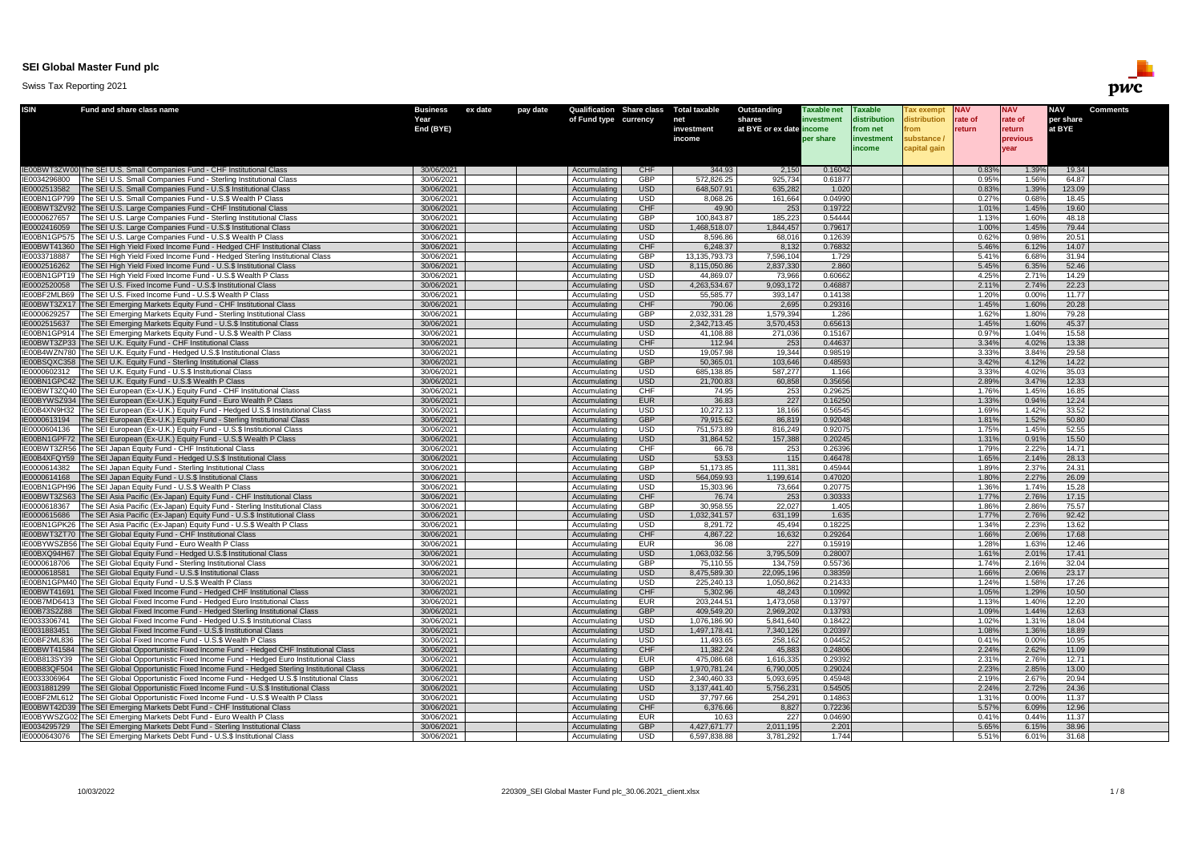| <b>ISIN</b>                  | Fund and share class name                                                                                                                                                  | <b>Business</b>          | ex date | pay date | Qualification Share class Total taxable |                          |                              | Outstanding              | Taxable net        | <b>Taxable</b> | Tax exempt   | <b>NAV</b>     | <b>NAV</b>     | <b>NAV</b>     | <b>Comments</b> |
|------------------------------|----------------------------------------------------------------------------------------------------------------------------------------------------------------------------|--------------------------|---------|----------|-----------------------------------------|--------------------------|------------------------------|--------------------------|--------------------|----------------|--------------|----------------|----------------|----------------|-----------------|
|                              |                                                                                                                                                                            | Year                     |         |          | of Fund type currency                   |                          | net                          | shares                   | investment         | distribution   | distribution | rate of        | rate of        | per share      |                 |
|                              |                                                                                                                                                                            | End (BYE)                |         |          |                                         |                          | investment                   | at BYE or ex date income |                    | from net       | <b>rom</b>   | return         | return         | at BYE         |                 |
|                              |                                                                                                                                                                            |                          |         |          |                                         |                          | income                       |                          | per share          | investment     | substance    |                | previous       |                |                 |
|                              |                                                                                                                                                                            |                          |         |          |                                         |                          |                              |                          |                    | income         | capital gain |                | year           |                |                 |
|                              |                                                                                                                                                                            |                          |         |          |                                         |                          |                              |                          |                    |                |              |                |                |                |                 |
|                              | IE00BWT3ZW00 The SEI U.S. Small Companies Fund - CHF Institutional Class                                                                                                   | 30/06/2021               |         |          | Accumulating                            | CHF                      | 344.93                       | 2,150                    | 0.16042            |                |              | 0.83%          | 1.39%          | 19.34          |                 |
| IE0034296800                 | The SEI U.S. Small Companies Fund - Sterling Institutional Class                                                                                                           | 30/06/2021               |         |          | Accumulating                            | <b>GBP</b>               | 572,826.25                   | 925,734                  | 0.61877            |                |              | 0.95%          | 1.56%          | 64.87          |                 |
| IE0002513582                 | The SEI U.S. Small Companies Fund - U.S.\$ Institutional Class                                                                                                             | 30/06/2021               |         |          | Accumulating                            | <b>USD</b>               | 648,507.91                   | 635,282                  | 1.020              |                |              | 0.83%          | 1.39%          | 123.09         |                 |
|                              | IE00BN1GP799 The SEI U.S. Small Companies Fund - U.S.\$ Wealth P Class                                                                                                     | 30/06/2021               |         |          | Accumulating                            | <b>USD</b>               | 8,068.26                     | 161,664                  | 0.04990            |                |              | 0.27%          | 0.68%          | 18.45          |                 |
|                              | IE00BWT3ZV92 The SEI U.S. Large Companies Fund - CHF Institutional Class                                                                                                   | 30/06/2021               |         |          | Accumulating                            | CHF                      | 49.90                        | 253                      | 0.19722            |                |              | 1.01%          | 1.45%          | 19.60          |                 |
| IE0000627657                 | The SEI U.S. Large Companies Fund - Sterling Institutional Class                                                                                                           | 30/06/2021               |         |          | Accumulating                            | GBP                      | 100,843.87                   | 185,223                  | 0.54444            |                |              | 1.13%          | 1.60%          | 48.18          |                 |
| IE0002416059                 | The SEI U.S. Large Companies Fund - U.S.\$ Institutional Class                                                                                                             | 30/06/2021               |         |          | Accumulating                            | <b>USD</b>               | 1,468,518.07                 | 1,844,457                | 0.79617            |                |              | 1.00%          | 1.45%          | 79.44          |                 |
|                              | IE00BN1GP575 The SEI U.S. Large Companies Fund - U.S.\$ Wealth P Class                                                                                                     | 30/06/2021               |         |          | Accumulating                            | <b>USD</b>               | 8,596.86                     | 68,016                   | 0.12639            |                |              | 0.62%          | 0.98%          | 20.51          |                 |
| IE00BWT41360                 | The SEI High Yield Fixed Income Fund - Hedged CHF Institutional Class                                                                                                      | 30/06/2021               |         |          | Accumulating                            | CHF                      | 6,248.37                     | 8,132                    | 0.76832            |                |              | 5.46%          | 6.12%          | 14.07          |                 |
| IE0033718887                 | The SEI High Yield Fixed Income Fund - Hedged Sterling Institutional Class<br>The SEI High Yield Fixed Income Fund - U.S.\$ Institutional Class                            | 30/06/2021               |         |          | Accumulating                            | <b>GBP</b><br><b>USD</b> | 13,135,793.73                | 7,596,104                | 1.729<br>2.860     |                |              | 5.41%<br>5.45% | 6.68%<br>6.35% | 31.94<br>52.46 |                 |
| IE0002516262<br>IE00BN1GPT19 | The SEI High Yield Fixed Income Fund - U.S.\$ Wealth P Class                                                                                                               | 30/06/2021<br>30/06/2021 |         |          | Accumulating<br>Accumulating            | <b>USD</b>               | 8,115,050.86<br>44,869.07    | 2,837,330<br>73,966      | 0.60662            |                |              | 4.25%          | 2.71%          | 14.29          |                 |
| IE0002520058                 | The SEI U.S. Fixed Income Fund - U.S.\$ Institutional Class                                                                                                                | 30/06/2021               |         |          | Accumulating                            | <b>USD</b>               | 4,263,534.67                 | 9,093,172                | 0.46887            |                |              | 2.11%          | 2.74%          | 22.23          |                 |
| IE00BF2MLB69                 | The SEI U.S. Fixed Income Fund - U.S.\$ Wealth P Class                                                                                                                     | 30/06/2021               |         |          | Accumulating                            | <b>USD</b>               | 55,585.77                    | 393,147                  | 0.14138            |                |              | 1.20%          | 0.00%          | 11.77          |                 |
| IE00BWT3ZX17                 | The SEI Emerging Markets Equity Fund - CHF Institutional Class                                                                                                             | 30/06/2021               |         |          | Accumulating                            | CHF                      | 790.06                       | 2,695                    | 0.29316            |                |              | 1.45%          | 1.60%          | 20.28          |                 |
| IE0000629257                 | The SEI Emerging Markets Equity Fund - Sterling Institutional Class                                                                                                        | 30/06/2021               |         |          | Accumulating                            | <b>GBP</b>               | 2,032,331.28                 | 1,579,394                | 1.286              |                |              | 1.62%          | 1.80%          | 79.28          |                 |
| IE0002515637                 | The SEI Emerging Markets Equity Fund - U.S.\$ Institutional Class                                                                                                          | 30/06/2021               |         |          | Accumulating                            | <b>USD</b>               | 2,342,713.45                 | 3,570,453                | 0.65613            |                |              | 1.45%          | 1.60%          | 45.37          |                 |
|                              | IE00BN1GP914   The SEI Emerging Markets Equity Fund - U.S.\$ Wealth P Class                                                                                                | 30/06/2021               |         |          | Accumulating                            | <b>USD</b>               | 41,108.88                    | 271,036                  | 0.15167            |                |              | 0.97%          | 1.04%          | 15.58          |                 |
|                              | IE00BWT3ZP33 The SEI U.K. Equity Fund - CHF Institutional Class                                                                                                            | 30/06/2021               |         |          | Accumulating                            | CHF                      | 112.94                       | 253                      | 0.44637            |                |              | 3.34%          | 4.02%          | 13.38          |                 |
|                              | IE00B4WZN780 The SEI U.K. Equity Fund - Hedged U.S.\$ Institutional Class                                                                                                  | 30/06/2021               |         |          | Accumulating                            | <b>USD</b>               | 19,057.98                    | 19,344                   | 0.98519            |                |              | 3.33%          | 3.84%          | 29.58          |                 |
|                              | IE00BSQXC358 The SEI U.K. Equity Fund - Sterling Institutional Class                                                                                                       | 30/06/2021               |         |          | Accumulating                            | <b>GBP</b>               | 50,365.01                    | 103,646                  | 0.48593            |                |              | 3.42%          | 4.12%          | 14.22          |                 |
| IE0000602312                 | The SEI U.K. Equity Fund - U.S.\$ Institutional Class                                                                                                                      | 30/06/2021               |         |          | Accumulating                            | <b>USD</b>               | 685,138.85                   | 587,277                  | 1.166              |                |              | 3.33%          | 4.02%          | 35.03          |                 |
|                              | IE00BN1GPC42 The SEI U.K. Equity Fund - U.S.\$ Wealth P Class                                                                                                              | 30/06/2021               |         |          | Accumulating                            | <b>USD</b>               | 21,700.83                    | 60,858                   | 0.35656            |                |              | 2.89%          | 3.47%          | 12.33          |                 |
|                              | IE00BWT3ZQ40 The SEI European (Ex-U.K.) Equity Fund - CHF Institutional Class                                                                                              | 30/06/2021               |         |          | Accumulating                            | CHF                      | 74.95                        | 253                      | 0.29625            |                |              | 1.76%          | 1.45%          | 16.85          |                 |
|                              | IE00BYWSZ934 The SEI European (Ex-U.K.) Equity Fund - Euro Wealth P Class                                                                                                  | 30/06/2021               |         |          | Accumulating                            | <b>EUR</b>               | 36.83                        | 227                      | 0.16250            |                |              | 1.33%          | 0.94%          | 12.24          |                 |
|                              | IE00B4XN9H32 The SEI European (Ex-U.K.) Equity Fund - Hedged U.S.\$ Institutional Class                                                                                    | 30/06/2021               |         |          | Accumulating                            | <b>USD</b>               | 10,272.13                    | 18,166                   | 0.56545            |                |              | 1.69%          | 1.42%          | 33.52          |                 |
| IE0000613194                 | The SEI European (Ex-U.K.) Equity Fund - Sterling Institutional Class                                                                                                      | 30/06/2021               |         |          | Accumulating                            | <b>GBP</b>               | 79,915.62                    | 86,819                   | 0.92048            |                |              | 1.81%          | 1.52%          | 50.80          |                 |
| IE0000604136                 | The SEI European (Ex-U.K.) Equity Fund - U.S.\$ Institutional Class                                                                                                        | 30/06/2021               |         |          | Accumulating                            | <b>USD</b>               | 751,573.89                   | 816,249                  | 0.92075            |                |              | 1.75%          | 1.45%          | 52.55          |                 |
|                              | IE00BN1GPF72 The SEI European (Ex-U.K.) Equity Fund - U.S.\$ Wealth P Class                                                                                                | 30/06/2021               |         |          | Accumulating                            | <b>USD</b>               | 31,864.52                    | 157,388                  | 0.20245            |                |              | 1.31%          | 0.91%          | 15.50          |                 |
|                              | IE00BWT3ZR56 The SEI Japan Equity Fund - CHF Institutional Class                                                                                                           | 30/06/2021               |         |          | Accumulating                            | <b>CHF</b>               | 66.78                        | 253                      | 0.26396            |                |              | 1.79%          | 2.22%          | 14.71          |                 |
|                              | IE00B4XFQY59 The SEI Japan Equity Fund - Hedged U.S.\$ Institutional Class                                                                                                 | 30/06/2021               |         |          | Accumulating                            | <b>USD</b><br>GBP        | 53.53                        | 115                      | 0.46478            |                |              | 1.65%          | 2.14%          | 28.13          |                 |
| IE0000614382<br>IE0000614168 | The SEI Japan Equity Fund - Sterling Institutional Class                                                                                                                   | 30/06/2021<br>30/06/2021 |         |          | Accumulating                            | <b>USD</b>               | 51,173.85<br>564,059.93      | 111,381<br>1,199,614     | 0.45944<br>0.47020 |                |              | 1.89%<br>1.80% | 2.37%<br>2.27% | 24.31<br>26.09 |                 |
|                              | The SEI Japan Equity Fund - U.S.\$ Institutional Class<br>IE00BN1GPH96 The SEI Japan Equity Fund - U.S.\$ Wealth P Class                                                   | 30/06/2021               |         |          | Accumulating<br>Accumulating            | <b>USD</b>               | 15,303.96                    | 73,664                   | 0.20775            |                |              | 1.36%          | 1.74%          | 15.28          |                 |
|                              | IE00BWT3ZS63 The SEI Asia Pacific (Ex-Japan) Equity Fund - CHF Institutional Class                                                                                         | 30/06/2021               |         |          | Accumulating                            | <b>CHF</b>               | 76.74                        | 253                      | 0.30333            |                |              | 1.77%          | 2.76%          | 17.15          |                 |
| IE0000618367                 | The SEI Asia Pacific (Ex-Japan) Equity Fund - Sterling Institutional Class                                                                                                 | 30/06/2021               |         |          | Accumulating                            | <b>GBP</b>               | 30,958.55                    | 22,027                   | 1.405              |                |              | 1.86%          | 2.86%          | 75.57          |                 |
| IE0000615686                 | The SEI Asia Pacific (Ex-Japan) Equity Fund - U.S.\$ Institutional Class                                                                                                   | 30/06/2021               |         |          | Accumulating                            | <b>USD</b>               | 1,032,341.57                 | 631,199                  | 1.635              |                |              | 1.77%          | 2.76%          | 92.42          |                 |
|                              | IE00BN1GPK26 The SEI Asia Pacific (Ex-Japan) Equity Fund - U.S.\$ Wealth P Class                                                                                           | 30/06/2021               |         |          | Accumulating                            | <b>USD</b>               | 8,291.72                     | 45,494                   | 0.18225            |                |              | 1.34%          | 2.23%          | 13.62          |                 |
| IE00BWT3ZT70                 | The SEI Global Equity Fund - CHF Institutional Class                                                                                                                       | 30/06/2021               |         |          | Accumulating                            | CHF                      | 4,867.22                     | 16,632                   | 0.29264            |                |              | 1.66%          | 2.06%          | 17.68          |                 |
|                              | IE00BYWSZB56 The SEI Global Equity Fund - Euro Wealth P Class                                                                                                              | 30/06/2021               |         |          | Accumulating                            | <b>EUR</b>               | 36.08                        | 227                      | 0.15919            |                |              | 1.28%          | 1.63%          | 12.46          |                 |
| IE00BXQ94H67                 | The SEI Global Equity Fund - Hedged U.S.\$ Institutional Class                                                                                                             | 30/06/2021               |         |          | Accumulating                            | <b>USD</b>               | 1,063,032.56                 | 3,795,509                | 0.28007            |                |              | 1.61%          | 2.01%          | 17.41          |                 |
| IE0000618706                 | The SEI Global Equity Fund - Sterling Institutional Class                                                                                                                  | 30/06/2021               |         |          | Accumulating                            | <b>GBP</b>               | 75,110.55                    | 134,759                  | 0.55736            |                |              | 1.74%          | 2.16%          | 32.04          |                 |
| IE0000618581                 | The SEI Global Equity Fund - U.S.\$ Institutional Class                                                                                                                    | 30/06/2021               |         |          | Accumulating                            | <b>USD</b>               | 8,475,589.30                 | 22,095,196               | 0.38359            |                |              | 1.66%          | 2.06%          | 23.17          |                 |
|                              | IE00BN1GPM40 The SEI Global Equity Fund - U.S.\$ Wealth P Class                                                                                                            | 30/06/2021               |         |          | Accumulating                            | <b>USD</b>               | 225,240.13                   | 1,050,862                | 0.21433            |                |              | 1.24%          | 1.58%          | 17.26          |                 |
| IE00BWT41691                 | The SEI Global Fixed Income Fund - Hedged CHF Institutional Class                                                                                                          | 30/06/2021               |         |          | Accumulating                            | CHF                      | 5,302.96                     | 48,243                   | 0.10992            |                |              | 1.05%          | 1.29%          | 10.50          |                 |
| IE00B7MD6413                 | The SEI Global Fixed Income Fund - Hedged Euro Institutional Class                                                                                                         | 30/06/2021               |         |          | Accumulating                            | <b>EUR</b>               | 203,244.51                   | 1,473,058                | 0.13797            |                |              | 1.13%          | 1.40%          | 12.20          |                 |
| IE00B73S2Z88                 | The SEI Global Fixed Income Fund - Hedged Sterling Institutional Class                                                                                                     | 30/06/2021               |         |          | Accumulating                            | <b>GBP</b>               | 409,549.20                   | 2,969,202                | 0.13793            |                |              | 1.09%          | 1.44%          | 12.63          |                 |
| IE0033306741                 | The SEI Global Fixed Income Fund - Hedged U.S.\$ Institutional Class                                                                                                       | 30/06/2021               |         |          | Accumulating                            | <b>USD</b>               | 1,076,186.90                 | 5,841,640                | 0.18422            |                |              | 1.02%          | 1.31%          | 18.04          |                 |
| IE0031883451                 | The SEI Global Fixed Income Fund - U.S.\$ Institutional Class                                                                                                              | 30/06/2021               |         |          | Accumulating                            | <b>USD</b>               | 1,497,178.41                 | 7,340,126                | 0.20397            |                |              | 1.08%          | 1.36%          | 18.89          |                 |
| IE00BF2ML836                 | The SEI Global Fixed Income Fund - U.S.\$ Wealth P Class                                                                                                                   | 30/06/2021               |         |          | Accumulating                            | <b>USD</b>               | 11,493.65                    | 258,162                  | 0.04452            |                |              | 0.41%          | 0.00%          | 10.95          |                 |
| IE00BWT41584                 | The SEI Global Opportunistic Fixed Income Fund - Hedged CHF Institutional Class                                                                                            | 30/06/2021               |         |          | Accumulating                            | CHF                      | 11,382.24                    | 45,883                   | 0.24806            |                |              | 2.24%          | 2.62%          | 11.09          |                 |
| IE00B813SY39                 | The SEI Global Opportunistic Fixed Income Fund - Hedged Euro Institutional Class                                                                                           | 30/06/2021               |         |          | Accumulating                            | <b>EUR</b>               | 475,086.68                   | 1,616,335                | 0.29392            |                |              | 2.31%          | 2.76%          | 12.71          |                 |
| IE00B83QF504                 | The SEI Global Opportunistic Fixed Income Fund - Hedged Sterling Institutional Class<br>The SEI Global Opportunistic Fixed Income Fund - Hedged U.S.\$ Institutional Class | 30/06/2021               |         |          | Accumulating                            | <b>GBP</b><br><b>USD</b> | 1,970,781.24                 | 6,790,005<br>5,093,695   | 0.29024<br>0.45948 |                |              | 2.23%<br>2.19% | 2.85%          | 13.00<br>20.94 |                 |
| IE0033306964<br>IE0031881299 | The SEI Global Opportunistic Fixed Income Fund - U.S.\$ Institutional Class                                                                                                | 30/06/2021<br>30/06/2021 |         |          | Accumulating<br>Accumulating            | <b>USD</b>               | 2,340,460.33<br>3,137,441.40 | 5,756,231                | 0.54505            |                |              | 2.24%          | 2.67%<br>2.72% | 24.36          |                 |
| IE00BF2ML612                 | The SEI Global Opportunistic Fixed Income Fund - U.S.\$ Wealth P Class                                                                                                     | 30/06/2021               |         |          | Accumulating                            | <b>USD</b>               | 37,797.66                    | 254,291                  | 0.14863            |                |              | 1.31%          | 0.00%          | 11.37          |                 |
|                              | IE00BWT42D39 The SEI Emerging Markets Debt Fund - CHF Institutional Class                                                                                                  | 30/06/2021               |         |          | Accumulating                            | CHF                      | 6,376.66                     | 8,827                    | 0.72236            |                |              | 5.57%          | 6.09%          | 12.96          |                 |
|                              | IE00BYWSZG02 The SEI Emerging Markets Debt Fund - Euro Wealth P Class                                                                                                      | 30/06/2021               |         |          | Accumulating                            | <b>EUR</b>               | 10.63                        | 227                      | 0.04690            |                |              | 0.41%          | 0.44%          | 11.37          |                 |
| IE0034295729                 | The SEI Emerging Markets Debt Fund - Sterling Institutional Class                                                                                                          | 30/06/2021               |         |          | Accumulating                            | <b>GBP</b>               | 4,427,671.77                 | 2,011,195                | 2.201              |                |              | 5.65%          | 6.15%          | 38.96          |                 |
| IE0000643076                 | The SEI Emerging Markets Debt Fund - U.S.\$ Institutional Class                                                                                                            | 30/06/2021               |         |          | Accumulating                            | <b>USD</b>               | 6,597,838.88                 | 3,781,292                | 1.744              |                |              | 5.51%          | 6.01%          | 31.68          |                 |

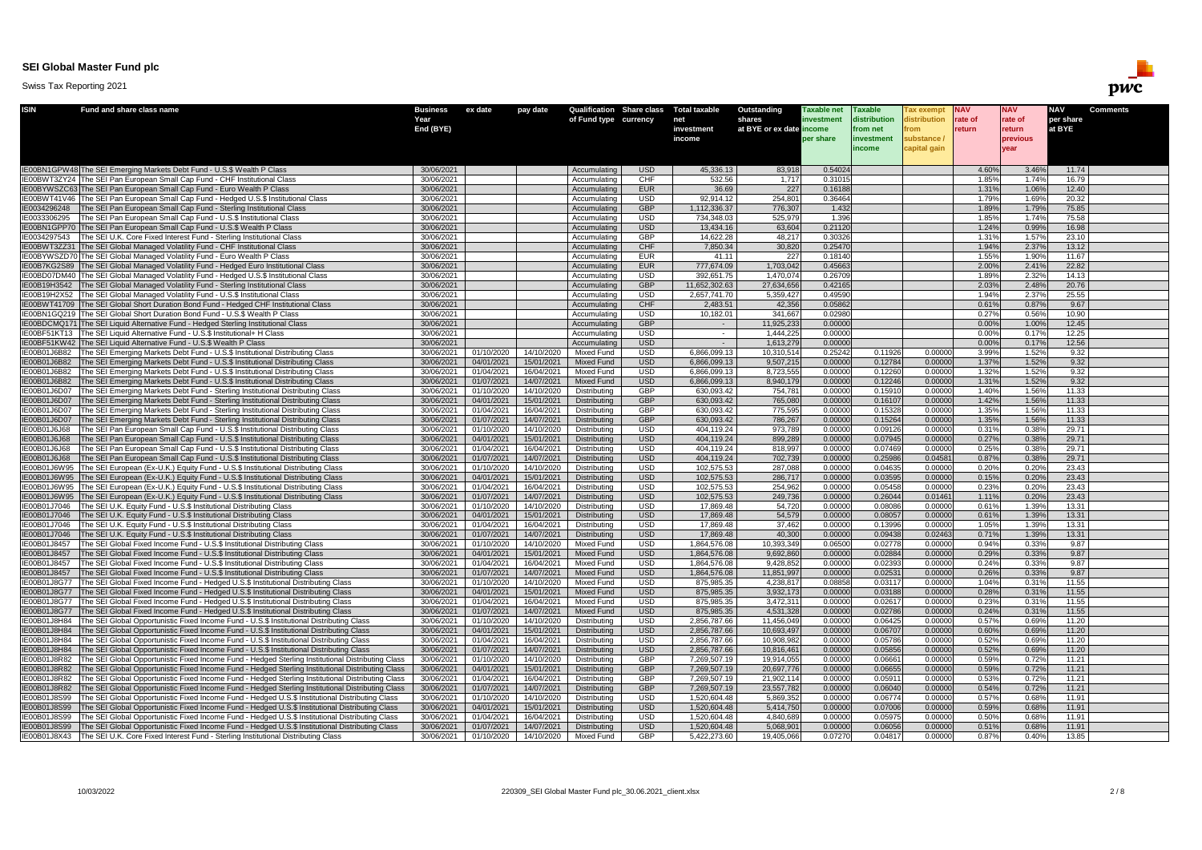| <b>ISIN</b><br><b>Fund and share class name</b>                                                                                                                                                                                        | <b>Business</b>          | ex date                  | pay date                 | Qualification Share class Total taxable |                          |                              | <b>Outstanding</b>       | <b>Taxable net</b> | <b>Taxable</b>     | Tax exempt         | <b>NAV</b>     | <b>NAV</b>     | <b>NAV</b>     | <b>Comments</b> |
|----------------------------------------------------------------------------------------------------------------------------------------------------------------------------------------------------------------------------------------|--------------------------|--------------------------|--------------------------|-----------------------------------------|--------------------------|------------------------------|--------------------------|--------------------|--------------------|--------------------|----------------|----------------|----------------|-----------------|
|                                                                                                                                                                                                                                        | Year                     |                          |                          | of Fund type currency                   |                          | net                          | shares                   | investment         | distribution       | distribution       | <b>rate of</b> | <b>rate of</b> | per share      |                 |
|                                                                                                                                                                                                                                        | End (BYE)                |                          |                          |                                         |                          | investment                   | at BYE or ex date income |                    | from net           | rom.               | return         | return         | at BYE         |                 |
|                                                                                                                                                                                                                                        |                          |                          |                          |                                         |                          | income                       |                          | per share          | investment         | substance          |                | previous       |                |                 |
|                                                                                                                                                                                                                                        |                          |                          |                          |                                         |                          |                              |                          |                    | <b>income</b>      | capital gain       |                | year           |                |                 |
|                                                                                                                                                                                                                                        |                          |                          |                          |                                         |                          |                              |                          |                    |                    |                    |                |                |                |                 |
| IE00BN1GPW48 The SEI Emerging Markets Debt Fund - U.S.\$ Wealth P Class<br>IE00BWT3ZY24 The SEI Pan European Small Cap Fund - CHF Institutional Class                                                                                  | 30/06/2021<br>30/06/2021 |                          |                          | Accumulating<br>Accumulating            | <b>USD</b><br>CHF        | 45,336.13<br>532.56          | 83,918<br>1,717          | 0.54024<br>0.31015 |                    |                    | 4.60%<br>1.85% | 3.46%<br>1.74% | 11.74<br>16.79 |                 |
| IE00BYWSZC63 The SEI Pan European Small Cap Fund - Euro Wealth P Class                                                                                                                                                                 | 30/06/2021               |                          |                          | Accumulating                            | <b>EUR</b>               | 36.69                        | 227                      | 0.16188            |                    |                    | 1.31%          | 1.06%          | 12.40          |                 |
| IE00BWT41V46 The SEI Pan European Small Cap Fund - Hedged U.S.\$ Institutional Class                                                                                                                                                   | 30/06/2021               |                          |                          | Accumulating                            | <b>USD</b>               | 92,914.12                    | 254,801                  | 0.36464            |                    |                    | 1.79%          | 1.69%          | 20.32          |                 |
| IE0034296248<br>The SEI Pan European Small Cap Fund - Sterling Institutional Class                                                                                                                                                     | 30/06/2021               |                          |                          | Accumulating                            | <b>GBP</b>               | 1,112,336.37                 | 776,307                  | 1.432              |                    |                    | 1.89%          | 1.79%          | 75.85          |                 |
| IE0033306295<br>The SEI Pan European Small Cap Fund - U.S.\$ Institutional Class                                                                                                                                                       | 30/06/2021               |                          |                          | Accumulating                            | <b>USD</b>               | 734,348.03                   | 525,979                  | 1.396              |                    |                    | 1.85%          | 1.74%          | 75.58          |                 |
| IE00BN1GPP70 The SEI Pan European Small Cap Fund - U.S.\$ Wealth P Class                                                                                                                                                               | 30/06/2021               |                          |                          | Accumulating                            | <b>USD</b>               | 13,434.16                    | 63,604                   | 0.21120            |                    |                    | 1.24%          | 0.99%          | 16.98          |                 |
| IE0034297543<br>The SEI U.K. Core Fixed Interest Fund - Sterling Institutional Class                                                                                                                                                   | 30/06/2021               |                          |                          | Accumulating                            | <b>GBP</b>               | 14,622.28                    | 48,217                   | 0.30326            |                    |                    | 1.31%          | 1.57%          | 23.10          |                 |
| IE00BWT3ZZ31 The SEI Global Managed Volatility Fund - CHF Institutional Class<br>IE00BYWSZD70 The SEI Global Managed Volatility Fund - Euro Wealth P Class                                                                             | 30/06/2021               |                          |                          | Accumulating                            | <b>CHF</b><br><b>EUR</b> | 7,850.34<br>41.11            | 30,820                   | 0.25470<br>0.18140 |                    |                    | 1.94%<br>1.55% | 2.37%<br>1.90% | 13.12<br>11.67 |                 |
| IE00B7KG2S89 The SEI Global Managed Volatility Fund - Hedged Euro Institutional Class                                                                                                                                                  | 30/06/2021<br>30/06/2021 |                          |                          | Accumulating<br>Accumulating            | <b>EUR</b>               | 777,674.09                   | 227<br>1,703,042         | 0.45663            |                    |                    | 2.00%          | 2.41%          | 22.82          |                 |
| IE00BD07DM40 The SEI Global Managed Volatility Fund - Hedged U.S.\$ Institutional Class                                                                                                                                                | 30/06/2021               |                          |                          | Accumulating                            | USD                      | 392,651.75                   | 1,470,074                | 0.26709            |                    |                    | 1.89%          | 2.32%          | 14.13          |                 |
| The SEI Global Managed Volatility Fund - Sterling Institutional Class<br>IE00B19H3542                                                                                                                                                  | 30/06/2021               |                          |                          | Accumulating                            | <b>GBP</b>               | 11,652,302.63                | 27,634,656               | 0.42165            |                    |                    | 2.03%          | 2.48%          | 20.76          |                 |
| IE00B19H2X52 The SEI Global Managed Volatility Fund - U.S.\$ Institutional Class                                                                                                                                                       | 30/06/2021               |                          |                          | Accumulating                            | <b>USD</b>               | 2,657,741.70                 | 5,359,427                | 0.49590            |                    |                    | 1.94%          | 2.37%          | 25.55          |                 |
| IE00BWT41709 The SEI Global Short Duration Bond Fund - Hedged CHF Institutional Class                                                                                                                                                  | 30/06/2021               |                          |                          | Accumulating                            | CHF                      | 2,483.51                     | 42,356                   | 0.05862            |                    |                    | 0.61%          | 0.87%          | 9.67           |                 |
| IE00BN1GQ219 The SEI Global Short Duration Bond Fund - U.S.\$ Wealth P Class                                                                                                                                                           | 30/06/2021               |                          |                          | Accumulating                            | <b>USD</b>               | 10,182.01                    | 341,667                  | 0.02980            |                    |                    | 0.27%          | 0.56%          | 10.90          |                 |
| IE00BDCMQ171 The SEI Liquid Alternative Fund - Hedged Sterling Institutional Class                                                                                                                                                     | 30/06/2021               |                          |                          | Accumulating                            | <b>GBP</b>               |                              | 11,925,233               | 0.00000            |                    |                    | 0.00%          | 1.00%          | 12.45          |                 |
| IE00BF51KT13   The SEI Liquid Alternative Fund - U.S.\$ Institutional+ H Class                                                                                                                                                         | 30/06/2021               |                          |                          | Accumulating                            | <b>USD</b>               | $\sim$                       | 1,444,225                | 0.00000            |                    |                    | 0.00%          | 0.17%          | 12.25          |                 |
| IE00BF51KW42 The SEI Liquid Alternative Fund - U.S.\$ Wealth P Class<br>The SEI Emerging Markets Debt Fund - U.S.\$ Institutional Distributing Class<br>IE00B01J6B82                                                                   | 30/06/2021<br>30/06/2021 | 01/10/2020               | 14/10/2020               | Accumulating<br><b>Mixed Fund</b>       | <b>USD</b><br><b>USD</b> | 6,866,099.13                 | 1,613,279<br>10,310,514  | 0.00000<br>0.25242 | 0.11926            | 0.00000            | 0.00%<br>3.99% | 0.17%<br>1.52% | 12.56<br>9.32  |                 |
| The SEI Emerging Markets Debt Fund - U.S.\$ Institutional Distributing Class<br>IE00B01J6B82                                                                                                                                           | 30/06/2021               | 04/01/2021               | 15/01/2021               | <b>Mixed Fund</b>                       | <b>USD</b>               | 6,866,099.13                 | 9,507,215                | 0.00000            | 0.12784            | 0.00000            | 1.37%          | 1.52%          | 9.32           |                 |
| The SEI Emerging Markets Debt Fund - U.S.\$ Institutional Distributing Class<br>IE00B01J6B82                                                                                                                                           | 30/06/2021               | 01/04/2021               | 16/04/2021               | <b>Mixed Fund</b>                       | <b>USD</b>               | 6,866,099.13                 | 8,723,555                | 0.00000            | 0.12260            | 0.00000            | 1.32%          | 1.52%          | 9.32           |                 |
| IE00B01J6B82<br>The SEI Emerging Markets Debt Fund - U.S.\$ Institutional Distributing Class                                                                                                                                           | 30/06/2021               | 01/07/2021               | 14/07/2021               | <b>Mixed Fund</b>                       | <b>USD</b>               | 6,866,099.13                 | 8,940,179                | 0.00000            | 0.12246            | 0.00000            | 1.31%          | 1.52%          | 9.32           |                 |
| IE00B01J6D07<br>The SEI Emerging Markets Debt Fund - Sterling Institutional Distributing Class                                                                                                                                         | 30/06/2021               | 01/10/2020               | 14/10/2020               | Distributing                            | <b>GBP</b>               | 630,093.42                   | 754,781                  | 0.00000            | 0.15910            | 0.00000            | 1.40%          | 1.56%          | 11.33          |                 |
| IE00B01J6D07<br>The SEI Emerging Markets Debt Fund - Sterling Institutional Distributing Class                                                                                                                                         | 30/06/202                | 04/01/2021               | 15/01/2021               | <b>Distributing</b>                     | <b>GBP</b>               | 630,093.42                   | 765,080                  | 0.00000            | 0.16107            | 0.00000            | 1.42%          | 1.56%          | 11.33          |                 |
| IE00B01J6D07<br>The SEI Emerging Markets Debt Fund - Sterling Institutional Distributing Class                                                                                                                                         | 30/06/202                | 01/04/2021               | 16/04/202                | Distributing                            | <b>GBP</b>               | 630,093.42                   | 775,595                  | 0.00000            | 0.15328            | 0.00000            | 1.35%          | 1.56%          | 11.33          |                 |
| The SEI Emerging Markets Debt Fund - Sterling Institutional Distributing Class<br>IE00B01J6D07                                                                                                                                         | 30/06/2021               | 01/07/2021               | 14/07/2021               | Distributing                            | <b>GBP</b>               | 630,093.42                   | 786,267                  | 0.00000            | 0.15264            | 0.00000            | 1.35%          | 1.56%          | 11.33          |                 |
| The SEI Pan European Small Cap Fund - U.S.\$ Institutional Distributing Class<br>IE00B01J6J68<br>IE00B01J6J68<br>The SEI Pan European Small Cap Fund - U.S.\$ Institutional Distributing Class                                         | 30/06/2021<br>30/06/2021 | 01/10/2020<br>04/01/2021 | 14/10/2020<br>15/01/2021 | Distributing<br><b>Distributing</b>     | USD<br><b>USD</b>        | 404,119.24<br>404,119.24     | 973,789<br>899,289       | 0.0000C<br>0.00000 | 0.09126<br>0.07945 | 0.00000<br>0.00000 | 0.31%<br>0.27% | 0.38%<br>0.38% | 29.71<br>29.71 |                 |
| IE00B01J6J68<br>The SEI Pan European Small Cap Fund - U.S.\$ Institutional Distributing Class                                                                                                                                          | 30/06/2021               | 01/04/2021               | 16/04/2021               | Distributing                            | <b>USD</b>               | 404,119.24                   | 818,997                  | 0.00000            | 0.07469            | 0.00000            | 0.25%          | 0.38%          | 29.71          |                 |
| IE00B01J6J68<br>The SEI Pan European Small Cap Fund - U.S.\$ Institutional Distributing Class                                                                                                                                          | 30/06/202                | 01/07/2021               | 14/07/2021               | Distributing                            | <b>USD</b>               | 404,119.24                   | 702,739                  | 0.00000            | 0.25986            | 0.04581            | 0.87%          | 0.38%          | 29.71          |                 |
| IE00B01J6W95 The SEI European (Ex-U.K.) Equity Fund - U.S.\$ Institutional Distributing Class                                                                                                                                          | 30/06/2021               | 01/10/2020               | 14/10/2020               | Distributing                            | USD                      | 102,575.53                   | 287,088                  | 0.0000C            | 0.04635            | 0.00000            | 0.20%          | 0.20%          | 23.43          |                 |
| IE00B01J6W95 The SEI European (Ex-U.K.) Equity Fund - U.S.\$ Institutional Distributing Class                                                                                                                                          | 30/06/202                | 04/01/2021               | 15/01/2021               | Distributing                            | <b>USD</b>               | 102,575.53                   | 286,717                  | 0.00000            | 0.03595            | 0.00000            | 0.15%          | 0.20%          | 23.43          |                 |
| IE00B01J6W95 The SEI European (Ex-U.K.) Equity Fund - U.S.\$ Institutional Distributing Class                                                                                                                                          | 30/06/202                | 01/04/2021               | 16/04/2021               | <b>Distributing</b>                     | USD                      | 102,575.53                   | 254,962                  | 0.00000            | 0.05458            | 0.00000            | 0.23%          | 0.20%          | 23.43          |                 |
| IE00B01J6W95 The SEI European (Ex-U.K.) Equity Fund - U.S.\$ Institutional Distributing Class                                                                                                                                          | 30/06/202                | 01/07/2021               | 14/07/2021               | Distributing                            | <b>USD</b>               | 102,575.53                   | 249,736                  | 0.00000            | 0.26044            | 0.01461            | 1.11%          | 0.20%          | 23.43          |                 |
| The SEI U.K. Equity Fund - U.S.\$ Institutional Distributing Class<br>IE00B01J7046<br>The SEI U.K. Equity Fund - U.S.\$ Institutional Distributing Class                                                                               | 30/06/2021<br>30/06/2021 | 01/10/2020<br>04/01/2021 | 14/10/2020               | Distributing<br>Distributing            | <b>USD</b><br><b>USD</b> | 17,869.48<br>17,869.48       | 54,720<br>54,579         | 0.00000<br>0.00000 | 0.08086<br>0.08057 | 0.00000<br>0.00000 | 0.61%<br>0.61% | 1.39%<br>1.39% | 13.31<br>13.31 |                 |
| IE00B01J7046<br>The SEI U.K. Equity Fund - U.S.\$ Institutional Distributing Class<br>IE00B01J7046                                                                                                                                     | 30/06/2021               | 01/04/2021               | 15/01/2021<br>16/04/2021 | Distributing                            | <b>USD</b>               | 17,869.48                    | 37,462                   | 0.00000            | 0.13996            | 0.00000            | 1.05%          | 1.39%          | 13.31          |                 |
| IE00B01J7046<br>The SEI U.K. Equity Fund - U.S.\$ Institutional Distributing Class                                                                                                                                                     | 30/06/202                | 01/07/2021               | 14/07/2021               | Distributing                            | <b>USD</b>               | 17,869.48                    | 40,300                   | 0.00000            | 0.09438            | 0.02463            | 0.71%          | 1.39%          | 13.31          |                 |
| The SEI Global Fixed Income Fund - U.S.\$ Institutional Distributing Class<br>IE00B01J8457                                                                                                                                             | 30/06/2021               | 01/10/2020               | 14/10/2020               | <b>Mixed Fund</b>                       | <b>USD</b>               | 1,864,576.08                 | 10,393,349               | 0.06500            | 0.02778            | 0.00000            | 0.94%          | 0.33%          | 9.87           |                 |
| IE00B01J8457<br>The SEI Global Fixed Income Fund - U.S.\$ Institutional Distributing Class                                                                                                                                             | 30/06/2021               | 04/01/2021               | 15/01/2021               | <b>Mixed Fund</b>                       | <b>USD</b>               | 1,864,576.08                 | 9,692,860                | 0.00000            | 0.02884            | 0.00000            | 0.29%          | 0.33%          | 9.87           |                 |
| IE00B01J8457<br>The SEI Global Fixed Income Fund - U.S.\$ Institutional Distributing Class                                                                                                                                             | 30/06/202                | 01/04/2021               | 16/04/2021               | <b>Mixed Fund</b>                       | <b>USD</b>               | 1,864,576.08                 | 9,428,852                | 0.00000            | 0.02393            | 0.00000            | 0.24%          | 0.33%          | 9.87           |                 |
| IE00B01J8457<br>The SEI Global Fixed Income Fund - U.S.\$ Institutional Distributing Class                                                                                                                                             | 30/06/202                | 01/07/2021               | 14/07/2021               | <b>Mixed Fund</b>                       | <b>USD</b>               | 1,864,576.08                 | 11,851,997               | 0.00000            | 0.02531            | 0.00000            | 0.26%          | 0.33%          | 9.87           |                 |
| The SEI Global Fixed Income Fund - Hedged U.S.\$ Institutional Distributing Class<br>IE00B01J8G77                                                                                                                                      | 30/06/2021               | 01/10/2020               | 14/10/2020               | <b>Mixed Fund</b><br><b>Mixed Fund</b>  | <b>USD</b><br><b>USD</b> | 875,985.35                   | 4,238,817                | 0.08858<br>0.00000 | 0.03117<br>0.03188 | 0.00000            | 1.04%<br>0.28% | 0.31%          | 11.55<br>11.55 |                 |
| The SEI Global Fixed Income Fund - Hedged U.S.\$ Institutional Distributing Class<br>IE00B01J8G77<br>IE00B01J8G77<br>The SEI Global Fixed Income Fund - Hedged U.S.\$ Institutional Distributing Class                                 | 30/06/2021<br>30/06/2021 | 04/01/2021<br>01/04/2021 | 15/01/2021<br>16/04/2021 | <b>Mixed Fund</b>                       | <b>USD</b>               | 875,985.35<br>875,985.35     | 3,932,173<br>3,472,311   | 0.00000            | 0.02617            | 0.00000<br>0.00000 | 0.23%          | 0.31%<br>0.31% | 11.55          |                 |
| The SEI Global Fixed Income Fund - Hedged U.S.\$ Institutional Distributing Class<br>IE00B01J8G77                                                                                                                                      | 30/06/2021               | 01/07/2021               | 14/07/2021               | <b>Mixed Fund</b>                       | <b>USD</b>               | 875,985.35                   | 4,531,328                | 0.00000            | 0.02786            | 0.00000            | 0.24%          | 0.31%          | 11.55          |                 |
| IE00B01J8H84<br>The SEI Global Opportunistic Fixed Income Fund - U.S.\$ Institutional Distributing Class                                                                                                                               | 30/06/2021               | 01/10/2020               | 14/10/2020               | Distributing                            | <b>USD</b>               | 2,856,787.66                 | 11,456,049               | 0.00000            | 0.06425            | 0.00000            | 0.57%          | 0.69%          | 11.20          |                 |
| The SEI Global Opportunistic Fixed Income Fund - U.S.\$ Institutional Distributing Class<br>IE00B01J8H84                                                                                                                               | 30/06/2021               | 04/01/2021               | 15/01/2021               | Distributing                            | <b>USD</b>               | 2,856,787.66                 | 10,693,497               | 0.00000            | 0.06707            | 0.00000            | 0.60%          | 0.69%          | 11.20          |                 |
| IE00B01J8H84<br>The SEI Global Opportunistic Fixed Income Fund - U.S.\$ Institutional Distributing Class                                                                                                                               | 30/06/2021               | 01/04/2021               | 16/04/2021               | <b>Distributing</b>                     | <b>USD</b>               | 2,856,787.66                 | 10,908,982               | 0.00000            | 0.05786            | 0.00000            | 0.52%          | 0.69%          | 11.20          |                 |
| The SEI Global Opportunistic Fixed Income Fund - U.S.\$ Institutional Distributing Class<br>IE00B01J8H84                                                                                                                               | 30/06/202                | 01/07/2021               | 14/07/2021               | <b>Distributing</b>                     | <b>USD</b>               | 2,856,787.66                 | 10,816,461               | 0.00000            | 0.05856            | 0.00000            | 0.52%          | 0.69%          | 11.20          |                 |
| The SEI Global Opportunistic Fixed Income Fund - Hedged Sterling Institutional Distributing Class<br>IE00B01J8R82                                                                                                                      | 30/06/202                | 01/10/2020               | 14/10/2020               | Distributing                            | <b>GBP</b>               | 7,269,507.19                 | 19,914,055               | 0.00000            | 0.06661            | 0.00000            | 0.59%          | 0.72%          | 11.21          |                 |
| IE00B01J8R82<br>The SEI Global Opportunistic Fixed Income Fund - Hedged Sterling Institutional Distributing Class                                                                                                                      | 30/06/2021               | 04/01/2021               | 15/01/2021               | Distributing                            | <b>GBP</b>               | 7,269,507.19                 | 20,697,776               | 0.00000            | 0.06655            | 0.00000            | 0.59%          | 0.72%          | 11.21          |                 |
| The SEI Global Opportunistic Fixed Income Fund - Hedged Sterling Institutional Distributing Class<br>IE00B01J8R82<br>The SEI Global Opportunistic Fixed Income Fund - Hedged Sterling Institutional Distributing Class<br>IE00B01J8R82 | 30/06/2021<br>30/06/2021 | 01/04/2021<br>01/07/2021 | 16/04/2021<br>14/07/2021 | Distributing<br>Distributing            | <b>GBP</b><br><b>GBP</b> | 7,269,507.19<br>7,269,507.19 | 21,902,114<br>23,557,782 | 0.00000<br>0.00000 | 0.05911<br>0.06040 | 0.00000<br>0.00000 | 0.53%<br>0.54% | 0.72%<br>0.72% | 11.21<br>11.21 |                 |
| The SEI Global Opportunistic Fixed Income Fund - Hedged U.S.\$ Institutional Distributing Class<br>IE00B01J8S99                                                                                                                        | 30/06/2021               | 01/10/2020               | 14/10/2020               | Distributing                            | <b>USD</b>               | 1,520,604.48                 | 5,869,352                | 0.00000            | 0.06774            | 0.00000            | 0.57%          | 0.68%          | 11.91          |                 |
| IE00B01J8S99<br>The SEI Global Opportunistic Fixed Income Fund - Hedged U.S.\$ Institutional Distributing Class                                                                                                                        | 30/06/202                | 04/01/2021               | 15/01/2021               | Distributing                            | <b>USD</b>               | 1,520,604.48                 | 5,414,750                | 0.00000            | 0.07006            | 0.00000            | 0.59%          | 0.68%          | 11.91          |                 |
| IE00B01J8S99<br>The SEI Global Opportunistic Fixed Income Fund - Hedged U.S.\$ Institutional Distributing Class                                                                                                                        | 30/06/202                | 01/04/2021               | 16/04/2021               | Distributing                            | <b>USD</b>               | 1,520,604.48                 | 4,840,689                | 0.0000             | 0.05975            | 0.00000            | 0.50%          | 0.68%          | 11.91          |                 |
| The SEI Global Opportunistic Fixed Income Fund - Hedged U.S.\$ Institutional Distributing Class<br>IE00B01J8S99                                                                                                                        | 30/06/202                | 01/07/2021               | 14/07/2021               | <b>Distributing</b>                     | <b>USD</b>               | 1,520,604.48                 | 5,068,901                | 0.00000            | 0.06056            | 0.00000            | 0.51%          | 0.68%          | 11.91          |                 |
| IE00B01J8X43 The SEI U.K. Core Fixed Interest Fund - Sterling Institutional Distributing Class                                                                                                                                         | 30/06/2021               | 01/10/2020               | 14/10/2020               | Mixed Fund                              | <b>GBP</b>               | 5,422,273.60                 | 19,405,066               | 0.07270            | 0.04817            | 0.00000            | 0.87%          | 0.40%          | 13.85          |                 |

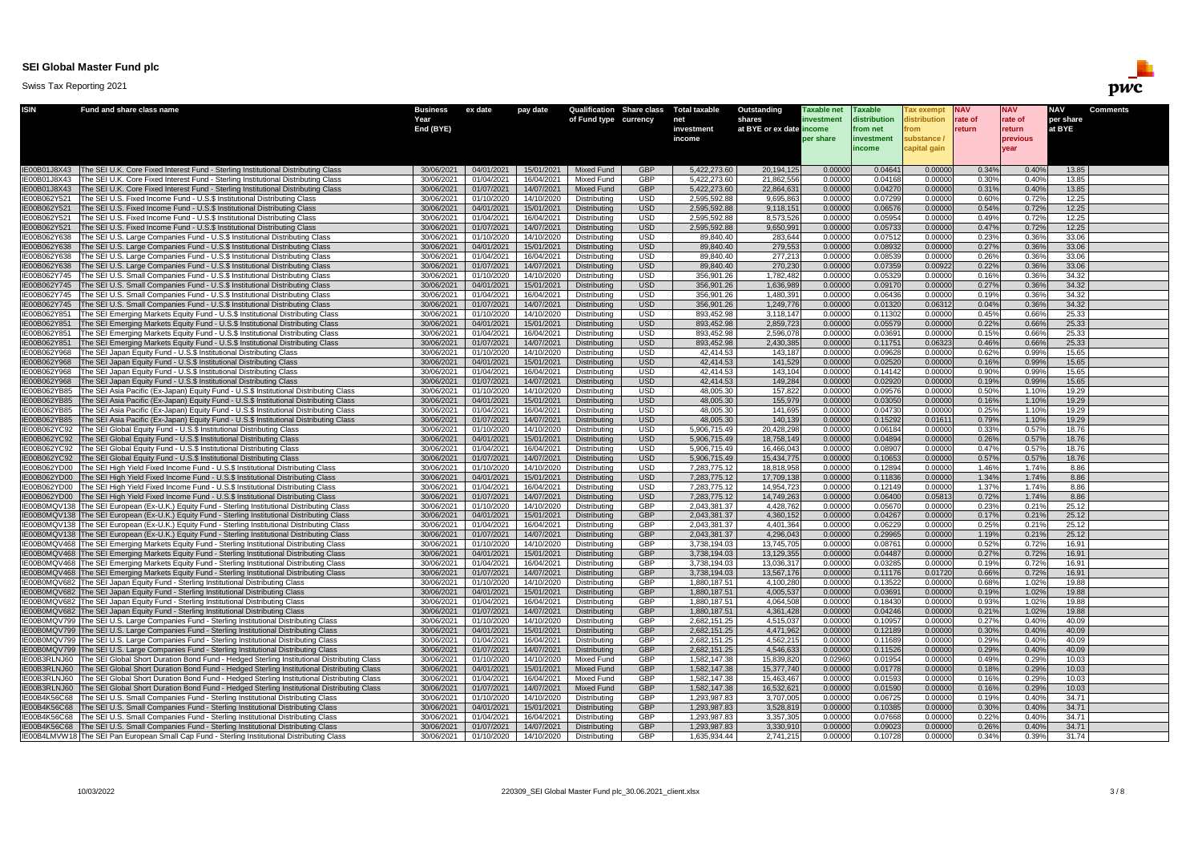| <b>ISIN</b>                  | <b>Fund and share class name</b>                                                                                                                                                 | <b>Business</b>         | ex date                  | pay date                 | <b>Qualification Share class</b>       |                          | <b>Total taxable</b>         | Outstanding              | <b>Taxable net</b> | <b>Taxable</b>     | Tax exempt         | <b>NAV</b>     | <b>NAV</b>     | <b>NAV</b>     | <b>Comments</b> |
|------------------------------|----------------------------------------------------------------------------------------------------------------------------------------------------------------------------------|-------------------------|--------------------------|--------------------------|----------------------------------------|--------------------------|------------------------------|--------------------------|--------------------|--------------------|--------------------|----------------|----------------|----------------|-----------------|
|                              |                                                                                                                                                                                  | Year                    |                          |                          | of Fund type currency                  |                          | net                          | shares                   | investment         | distribution       | distribution       | <b>rate of</b> | rate of        | per share      |                 |
|                              |                                                                                                                                                                                  | End (BYE)               |                          |                          |                                        |                          | investment                   | at BYE or ex date income |                    | from net           | rom                | return         | return         | at BYE         |                 |
|                              |                                                                                                                                                                                  |                         |                          |                          |                                        |                          | income                       |                          | per share          | investment         | substance          |                | previous       |                |                 |
|                              |                                                                                                                                                                                  |                         |                          |                          |                                        |                          |                              |                          |                    | <b>income</b>      | capital gain       |                | vear           |                |                 |
|                              |                                                                                                                                                                                  |                         |                          |                          |                                        |                          |                              |                          |                    |                    |                    |                |                |                |                 |
| IE00B01J8X43<br>IE00B01J8X43 | The SEI U.K. Core Fixed Interest Fund - Sterling Institutional Distributing Class<br>The SEI U.K. Core Fixed Interest Fund - Sterling Institutional Distributing Class           | 30/06/202<br>30/06/2021 | 04/01/2021<br>01/04/2021 | 15/01/2021<br>16/04/2021 | <b>Mixed Fund</b><br><b>Mixed Fund</b> | <b>GBP</b><br><b>GBP</b> | 5,422,273.60<br>5,422,273.60 | 20,194,125<br>21,862,556 | 0.00000<br>0.0000  | 0.04641<br>0.04168 | 0.00000<br>0.00000 | 0.34%<br>0.30% | 0.40%<br>0.40% | 13.85<br>13.85 |                 |
| IE00B01J8X43                 | The SEI U.K. Core Fixed Interest Fund - Sterling Institutional Distributing Class                                                                                                | 30/06/2021              | 01/07/2021               | 14/07/2021               | <b>Mixed Fund</b>                      | <b>GBP</b>               | 5,422,273.60                 | 22,864,631               | 0.00000            | 0.04270            | 0.00000            | 0.31%          | 0.40%          | 13.85          |                 |
| IE00B062Y521                 | The SEI U.S. Fixed Income Fund - U.S.\$ Institutional Distributing Class                                                                                                         | 30/06/2021              | 01/10/2020               | 14/10/2020               | Distributing                           | <b>USD</b>               | 2,595,592.88                 | 9,695,863                | 0.00000            | 0.07299            | 0.00000            | 0.60%          | 0.72%          | 12.25          |                 |
| IE00B062Y521                 | The SEI U.S. Fixed Income Fund - U.S.\$ Institutional Distributing Class                                                                                                         | 30/06/202               | 04/01/2021               | 15/01/2021               | Distributing                           | <b>USD</b>               | 2,595,592.88                 | 9,118,151                | 0.00000            | 0.06576            | 0.00000            | 0.54%          | 0.72%          | 12.25          |                 |
| IE00B062Y52                  | The SEI U.S. Fixed Income Fund - U.S.\$ Institutional Distributing Class                                                                                                         | 30/06/2021              | 01/04/2021               | 16/04/2021               | Distributing                           | <b>USD</b>               | 2,595,592.88                 | 8,573,526                | 0.00000            | 0.05954            | 0.00000            | 0.49%          | 0.72%          | 12.25          |                 |
| IE00B062Y52                  | The SEI U.S. Fixed Income Fund - U.S.\$ Institutional Distributing Class                                                                                                         | 30/06/202               | 01/07/2021               | 14/07/2021               | Distributing                           | <b>USD</b>               | 2,595,592.88                 | 9,650,991                | 0.00000            | 0.05733            | 0.00000            | 0.47%          | 0.72%          | 12.25          |                 |
| IE00B062Y638                 | The SEI U.S. Large Companies Fund - U.S.\$ Institutional Distributing Class                                                                                                      | 30/06/202               | 01/10/2020               | 14/10/2020               | Distributing                           | <b>USD</b>               | 89,840.40                    | 283,644                  | 0.00000            | 0.07512            | 0.00000            | 0.23%          | 0.36%          | 33.06          |                 |
| IE00B062Y638                 | The SEI U.S. Large Companies Fund - U.S.\$ Institutional Distributing Class                                                                                                      | 30/06/202               | 04/01/2021               | 15/01/2021               | Distributing                           | <b>USD</b>               | 89,840.40                    | 279,553                  | 0.00000            | 0.08932            | 0.00000            | 0.27%          | 0.36%          | 33.06          |                 |
| IE00B062Y638                 | The SEI U.S. Large Companies Fund - U.S.\$ Institutional Distributing Class                                                                                                      | 30/06/202               | 01/04/2021               | 16/04/2021               | Distributing                           | <b>USD</b>               | 89,840.40                    | 277,213                  | 0.00000            | 0.08539            | 0.00000            | 0.26%          | 0.36%          | 33.06          |                 |
| IE00B062Y638                 | The SEI U.S. Large Companies Fund - U.S.\$ Institutional Distributing Class                                                                                                      | 30/06/2021              | 01/07/2021               | 14/07/2021               | Distributing                           | <b>USD</b>               | 89,840.40                    | 270,230                  | 0.00000            | 0.07359            | 0.00922            | 0.22%          | 0.36%          | 33.06          |                 |
| IE00B062Y745                 | The SEI U.S. Small Companies Fund - U.S.\$ Institutional Distributing Class                                                                                                      | 30/06/2021              | 01/10/2020               | 14/10/2020               | Distributing                           | <b>USD</b>               | 356,901.26                   | 1,782,482                | 0.00000            | 0.05329            | 0.00000            | 0.16%          | 0.36%          | 34.32          |                 |
| IE00B062Y745                 | The SEI U.S. Small Companies Fund - U.S.\$ Institutional Distributing Class                                                                                                      | 30/06/202               | 04/01/2021               | 15/01/2021               | Distributing                           | <b>USD</b>               | 356,901.26                   | 1,636,989                | 0.00000            | 0.09170            | 0.00000            | 0.27%          | 0.36%          | 34.32          |                 |
| IE00B062Y745                 | The SEI U.S. Small Companies Fund - U.S.\$ Institutional Distributing Class                                                                                                      | 30/06/202               | 01/04/2021               | 16/04/202                | Distributing                           | <b>USD</b><br><b>USD</b> | 356,901.26                   | 1,480,391                | 0.0000             | 0.06436            | 0.00000            | 0.19%          | 0.36%          | 34.32          |                 |
| IE00B062Y745<br>IE00B062Y85  | The SEI U.S. Small Companies Fund - U.S.\$ Institutional Distributing Class<br>The SEI Emerging Markets Equity Fund - U.S.\$ Institutional Distributing Class                    | 30/06/202<br>30/06/202  | 01/07/2021<br>01/10/2020 | 14/07/2021<br>14/10/2020 | Distributing<br>Distributing           | <b>USD</b>               | 356,901.26<br>893,452.98     | 1,249,776<br>3,118,147   | 0.00000<br>0.00000 | 0.01320<br>0.11302 | 0.06312<br>0.00000 | 0.04%<br>0.45% | 0.36%<br>0.66% | 34.32<br>25.33 |                 |
| IE00B062Y85                  | The SEI Emerging Markets Equity Fund - U.S.\$ Institutional Distributing Class                                                                                                   | 30/06/202               | 04/01/2021               | 15/01/2021               | Distributing                           | <b>USD</b>               | 893,452.98                   | 2,859,723                | 0.00000            | 0.05579            | 0.00000            | 0.22%          | 0.66%          | 25.33          |                 |
| IE00B062Y85                  | The SEI Emerging Markets Equity Fund - U.S.\$ Institutional Distributing Class                                                                                                   | 30/06/202               | 01/04/2021               | 16/04/202                | Distributing                           | <b>USD</b>               | 893,452.98                   | 2,596,078                | 0.00000            | 0.03691            | 0.00000            | 0.15%          | 0.66%          | 25.33          |                 |
| IE00B062Y85                  | The SEI Emerging Markets Equity Fund - U.S.\$ Institutional Distributing Class                                                                                                   | 30/06/202               | 01/07/2021               | 14/07/2021               | Distributing                           | <b>USD</b>               | 893,452.98                   | 2,430,385                | 0.00000            | 0.11751            | 0.06323            | 0.46%          | 0.66%          | 25.33          |                 |
| IE00B062Y968                 | The SEI Japan Equity Fund - U.S.\$ Institutional Distributing Class                                                                                                              | 30/06/202               | 01/10/2020               | 14/10/2020               | Distributing                           | <b>USD</b>               | 42,414.53                    | 143,187                  | 0.00000            | 0.09628            | 0.00000            | 0.62%          | 0.99%          | 15.65          |                 |
| IE00B062Y968                 | The SEI Japan Equity Fund - U.S.\$ Institutional Distributing Class                                                                                                              | 30/06/2021              | 04/01/2021               | 15/01/2021               | Distributing                           | <b>USD</b>               | 42,414.53                    | 141,529                  | 0.00000            | 0.02520            | 0.0000C            | 0.16%          | 0.99%          | 15.65          |                 |
| IE00B062Y968                 | The SEI Japan Equity Fund - U.S.\$ Institutional Distributing Class                                                                                                              | 30/06/202               | 01/04/2021               | 16/04/2021               | Distributing                           | USD                      | 42,414.53                    | 143,104                  | 0.00000            | 0.14142            | 0.00000            | 0.90%          | 0.99%          | 15.65          |                 |
| IE00B062Y968                 | The SEI Japan Equity Fund - U.S.\$ Institutional Distributing Class                                                                                                              | 30/06/202               | 01/07/2021               | 14/07/2021               | Distributing                           | <b>USD</b>               | 42,414.53                    | 149,284                  | 0.00000            | 0.02920            | 0.00000            | 0.19%          | 0.99%          | 15.65          |                 |
| IE00B062YB85                 | The SEI Asia Pacific (Ex-Japan) Equity Fund - U.S.\$ Institutional Distributing Class                                                                                            | 30/06/202               | 01/10/2020               | 14/10/2020               | Distributing                           | <b>USD</b>               | 48,005.30                    | 157,822                  | 0.0000             | 0.09576            | 0.00000            | 0.50%          | 1.10%          | 19.29          |                 |
| IE00B062YB85                 | The SEI Asia Pacific (Ex-Japan) Equity Fund - U.S.\$ Institutional Distributing Class                                                                                            | 30/06/202               | 04/01/2021               | 15/01/2021               | Distributing                           | <b>USD</b>               | 48,005.30                    | 155,979                  | 0.00000            | 0.03050            | 0.00000            | 0.16%          | 1.10%          | 19.29          |                 |
| IE00B062YB85                 | The SEI Asia Pacific (Ex-Japan) Equity Fund - U.S.\$ Institutional Distributing Class                                                                                            | 30/06/202               | 01/04/2021               | 16/04/2021               | Distributing                           | <b>USD</b>               | 48,005.30                    | 141,695                  | 0.00000            | 0.04730            | 0.00000            | 0.25%          | 1.10%          | 19.29          |                 |
| IE00B062YB85                 | The SEI Asia Pacific (Ex-Japan) Equity Fund - U.S.\$ Institutional Distributing Class                                                                                            | 30/06/202               | 01/07/2021               | 14/07/2021               | Distributing                           | <b>USD</b>               | 48,005.30                    | 140,139                  | 0.00000            | 0.15292            | 0.01611            | 0.79%          | 1.10%          | 19.29          |                 |
| IE00B062YC92                 | The SEI Global Equity Fund - U.S.\$ Institutional Distributing Class                                                                                                             | 30/06/202               | 01/10/2020               | 14/10/2020               | Distributing                           | <b>USD</b>               | 5,906,715.49                 | 20,428,298               | 0.0000             | 0.06184            | 0.00000            | 0.33%          | 0.57%          | 18.76          |                 |
|                              | IE00B062YC92   The SEI Global Equity Fund - U.S.\$ Institutional Distributing Class                                                                                              | 30/06/2021              | 04/01/2021               | 15/01/2021               | <b>Distributing</b>                    | <b>USD</b>               | 5,906,715.49                 | 18,758,149               | 0.00000            | 0.04894            | 0.00000            | 0.26%          | 0.57%          | 18.76          |                 |
|                              | IE00B062YC92 The SEI Global Equity Fund - U.S.\$ Institutional Distributing Class                                                                                                | 30/06/2021              | 01/04/2021               | 16/04/2021<br>14/07/2021 | Distributing                           | <b>USD</b><br><b>USD</b> | 5,906,715.49                 | 16,466,043<br>15,434,775 | 0.00000<br>0.00000 | 0.08907<br>0.10653 | 0.00000<br>0.00000 | 0.47%<br>0.57% | 0.57%<br>0.57% | 18.76<br>18.76 |                 |
|                              | IE00B062YC92 The SEI Global Equity Fund - U.S.\$ Institutional Distributing Class<br>IE00B062YD00 The SEI High Yield Fixed Income Fund - U.S.\$ Institutional Distributing Class | 30/06/202<br>30/06/2021 | 01/07/2021<br>01/10/2020 | 14/10/2020               | Distributing<br>Distributing           | <b>USD</b>               | 5,906,715.49<br>7,283,775.12 | 18,818,958               | 0.00000            | 0.12894            | 0.00000            | 1.46%          | 1.74%          | 8.86           |                 |
| IE00B062YD00                 | The SEI High Yield Fixed Income Fund - U.S.\$ Institutional Distributing Class                                                                                                   | 30/06/2021              | 04/01/2021               | 15/01/2021               | Distributing                           | <b>USD</b>               | 7,283,775.12                 | 17,709,138               | 0.00000            | 0.11836            | 0.00000            | 1.34%          | 1.74%          | 8.86           |                 |
| IE00B062YD00                 | The SEI High Yield Fixed Income Fund - U.S.\$ Institutional Distributing Class                                                                                                   | 30/06/2021              | 01/04/2021               | 16/04/2021               | Distributing                           | <b>USD</b>               | 7,283,775.12                 | 14,954,723               | 0.00000            | 0.12149            | 0.00000            | 1.37%          | 1.74%          | 8.86           |                 |
|                              | IE00B062YD00 The SEI High Yield Fixed Income Fund - U.S.\$ Institutional Distributing Class                                                                                      | 30/06/202               | 01/07/2021               | 14/07/2021               | Distributing                           | <b>USD</b>               | 7,283,775.12                 | 14,749,263               | 0.00000            | 0.06400            | 0.05813            | 0.72%          | 1.74%          | 8.86           |                 |
|                              | IE00B0MQV138 The SEI European (Ex-U.K.) Equity Fund - Sterling Institutional Distributing Class                                                                                  | 30/06/202               | 01/10/2020               | 14/10/2020               | Distributing                           | <b>GBP</b>               | 2,043,381.37                 | 4,428,762                | 0.00000            | 0.05670            | 0.00000            | 0.23%          | 0.21%          | 25.12          |                 |
|                              | IE00B0MQV138 The SEI European (Ex-U.K.) Equity Fund - Sterling Institutional Distributing Class                                                                                  | 30/06/2021              | 04/01/2021               | 15/01/2021               | Distributing                           | <b>GBP</b>               | 2,043,381.37                 | 4,360,152                | 0.00000            | 0.04267            | 0.00000            | 0.17%          | 0.21%          | 25.12          |                 |
|                              | IE00B0MQV138 The SEI European (Ex-U.K.) Equity Fund - Sterling Institutional Distributing Class                                                                                  | 30/06/2021              | 01/04/2021               | 16/04/2021               | Distributing                           | <b>GBP</b>               | 2,043,381.37                 | 4,401,364                | 0.00000            | 0.06229            | 0.00000            | 0.25%          | 0.21%          | 25.12          |                 |
|                              | IE00B0MQV138 The SEI European (Ex-U.K.) Equity Fund - Sterling Institutional Distributing Class                                                                                  | 30/06/2021              | 01/07/2021               | 14/07/2021               | Distributing                           | <b>GBP</b>               | 2,043,381.37                 | 4,296,043                | 0.00000            | 0.29965            | 0.00000            | 1.19%          | 0.21%          | 25.12          |                 |
|                              | IE00B0MQV468 The SEI Emerging Markets Equity Fund - Sterling Institutional Distributing Class                                                                                    | 30/06/202               | 01/10/2020               | 14/10/2020               | Distributing                           | <b>GBP</b>               | 3,738,194.03                 | 13,745,705               | 0.00000            | 0.08761            | 0.00000            | 0.52%          | 0.72%          | 16.91          |                 |
|                              | IE00B0MQV468 The SEI Emerging Markets Equity Fund - Sterling Institutional Distributing Class                                                                                    | 30/06/2021              | 04/01/2021               | 15/01/2021               | Distributing                           | <b>GBP</b>               | 3,738,194.03                 | 13,129,355               | 0.00000            | 0.04487            | 0.00000            | 0.27%          | 0.72%          | 16.91          |                 |
|                              | IE00B0MQV468 The SEI Emerging Markets Equity Fund - Sterling Institutional Distributing Class                                                                                    | 30/06/2021              | 01/04/2021               | 16/04/2021               | Distributing                           | <b>GBP</b>               | 3,738,194.03                 | 13,036,317               | 0.0000             | 0.03285            | 0.00000            | 0.19%          | 0.72%          | 16.91          |                 |
|                              | IE00B0MQV468 The SEI Emerging Markets Equity Fund - Sterling Institutional Distributing Class                                                                                    | 30/06/202               | 01/07/2021               | 14/07/2021               | <b>Distributing</b>                    | <b>GBP</b>               | 3,738,194.03                 | 13,567,176               | 0.00000            | 0.11176            | 0.01720            | 0.66%          | 0.72%          | 16.91          |                 |
|                              | IE00B0MQV682 The SEI Japan Equity Fund - Sterling Institutional Distributing Class<br>IE00B0MQV682 The SEI Japan Equity Fund - Sterling Institutional Distributing Class         | 30/06/202               | 01/10/2020               | 14/10/2020<br>15/01/2021 | Distributing                           | <b>GBP</b><br><b>GBP</b> | 1,880,187.51                 | 4,100,280                | 0.00000<br>0.00000 | 0.13522<br>0.03691 | 0.00000<br>0.00000 | 0.68%<br>0.19% | 1.02%<br>1.02% | 19.88<br>19.88 |                 |
|                              | IE00B0MQV682 The SEI Japan Equity Fund - Sterling Institutional Distributing Class                                                                                               | 30/06/202<br>30/06/202  | 04/01/2021<br>01/04/2021 | 16/04/2021               | Distributing<br>Distributing           | <b>GBP</b>               | 1,880,187.51<br>1,880,187.51 | 4,005,537<br>4,064,508   | 0.0000             | 0.18430            | 0.00000            | 0.93%          | 1.02%          | 19.88          |                 |
|                              | IE00B0MQV682 The SEI Japan Equity Fund - Sterling Institutional Distributing Class                                                                                               | 30/06/202               | 01/07/2021               | 14/07/2021               | Distributing                           | <b>GBP</b>               | 1,880,187.51                 | 4,361,428                | 0.00000            | 0.04246            | 0.00000            | 0.21%          | 1.02%          | 19.88          |                 |
|                              | IE00B0MQV799 The SEI U.S. Large Companies Fund - Sterling Institutional Distributing Class                                                                                       | 30/06/202               | 01/10/2020               | 14/10/2020               | Distributing                           | <b>GBP</b>               | 2,682,151.25                 | 4,515,037                | 0.00000            | 0.10957            | 0.00000            | 0.27%          | 0.40%          | 40.09          |                 |
|                              | IE00B0MQV799 The SEI U.S. Large Companies Fund - Sterling Institutional Distributing Class                                                                                       | 30/06/202               | 04/01/2021               | 15/01/2021               | Distributing                           | <b>GBP</b>               | 2,682,151.25                 | 4,471,962                | 0.00000            | 0.12189            | 0.00000            | 0.30%          | 0.40%          | 40.09          |                 |
|                              | IE00B0MQV799 The SEI U.S. Large Companies Fund - Sterling Institutional Distributing Class                                                                                       | 30/06/202               | 01/04/2021               | 16/04/2021               | Distributing                           | <b>GBP</b>               | 2,682,151.25                 | 4,562,215                | 0.0000             | 0.11689            | 0.00000            | 0.29%          | 0.40%          | 40.09          |                 |
|                              | IE00B0MQV799 The SEI U.S. Large Companies Fund - Sterling Institutional Distributing Class                                                                                       | 30/06/2021              | 01/07/2021               | 14/07/2021               | Distributing                           | <b>GBP</b>               | 2,682,151.25                 | 4,546,633                | 0.00000            | 0.11526            | 0.00000            | 0.29%          | 0.40%          | 40.09          |                 |
|                              | IE00B3RLNJ60 The SEI Global Short Duration Bond Fund - Hedged Sterling Institutional Distributing Class                                                                          | 30/06/202               | 01/10/2020               | 14/10/2020               | <b>Mixed Fund</b>                      | <b>GBP</b>               | 1,582,147.38                 | 15,839,820               | 0.02960            | 0.01954            | 0.00000            | 0.49%          | 0.29%          | 10.03          |                 |
|                              | IE00B3RLNJ60 The SEI Global Short Duration Bond Fund - Hedged Sterling Institutional Distributing Class                                                                          | 30/06/202               | 04/01/2021               | 15/01/2021               | <b>Mixed Fund</b>                      | <b>GBP</b>               | 1,582,147.38                 | 15,377,740               | 0.00000            | 0.01778            | 0.00000            | 0.18%          | 0.29%          | 10.03          |                 |
| IE00B3RLNJ60                 | The SEI Global Short Duration Bond Fund - Hedged Sterling Institutional Distributing Class                                                                                       | 30/06/202               | 01/04/2021               | 16/04/2021               | <b>Mixed Fund</b>                      | <b>GBP</b>               | 1,582,147.38                 | 15,463,467               | 0.0000             | 0.01593            | 0.00000            | 0.16%          | 0.29%          | 10.03          |                 |
|                              | IE00B3RLNJ60 The SEI Global Short Duration Bond Fund - Hedged Sterling Institutional Distributing Class                                                                          | 30/06/2021              | 01/07/2021               | 14/07/2021               | <b>Mixed Fund</b>                      | <b>GBP</b>               | 1,582,147.38                 | 16,532,621               | 0.00000            | 0.01590            | 0.0000C            | 0.16%          | 0.29%          | 10.03          |                 |
| IE00B4K56C68                 | The SEI U.S. Small Companies Fund - Sterling Institutional Distributing Class                                                                                                    | 30/06/202               | 01/10/2020               | 14/10/2020               | Distributing                           | <b>GBP</b>               | 1,293,987.83                 | 3,707,005                | 0.0000             | 0.06725            | 0.00000            | 0.19%          | 0.40%          | 34.71          |                 |
|                              | IE00B4K56C68   The SEI U.S. Small Companies Fund - Sterling Institutional Distributing Class                                                                                     | 30/06/2021              | 04/01/2021               | 15/01/2021               | Distributing                           | <b>GBP</b>               | 1,293,987.83                 | 3,528,819                | 0.00000            | 0.10385            | 0.00000            | 0.30%          | 0.40%          | 34.71          |                 |
| IE00B4K56C68                 | The SEI U.S. Small Companies Fund - Sterling Institutional Distributing Class                                                                                                    | 30/06/202               | 01/04/2021               | 16/04/2021               | Distributing                           | <b>GBP</b>               | 1,293,987.83                 | 3,357,305                | 0.0000             | 0.07668            | 0.00000            | 0.22%          | 0.40%          | 34.71          |                 |
|                              | IE00B4K56C68   The SEI U.S. Small Companies Fund - Sterling Institutional Distributing Class                                                                                     | 30/06/2021              | 01/07/2021               | 14/07/2021               | Distributing                           | <b>GBP</b><br><b>GBP</b> | 1,293,987.83                 | 3,330,910                | 0.00000<br>0.0000  | 0.09023<br>0.10728 | 0.00000<br>0.00000 | 0.26%<br>0.34% | 0.40%<br>0.39% | 34.71<br>31.74 |                 |
|                              | IE00B4LMVW18 The SEI Pan European Small Cap Fund - Sterling Institutional Distributing Class                                                                                     | 30/06/2021              | 01/10/2020               | 14/10/2020               | Distributing                           |                          | 1,635,934.44                 | 2,741,215                |                    |                    |                    |                |                |                |                 |

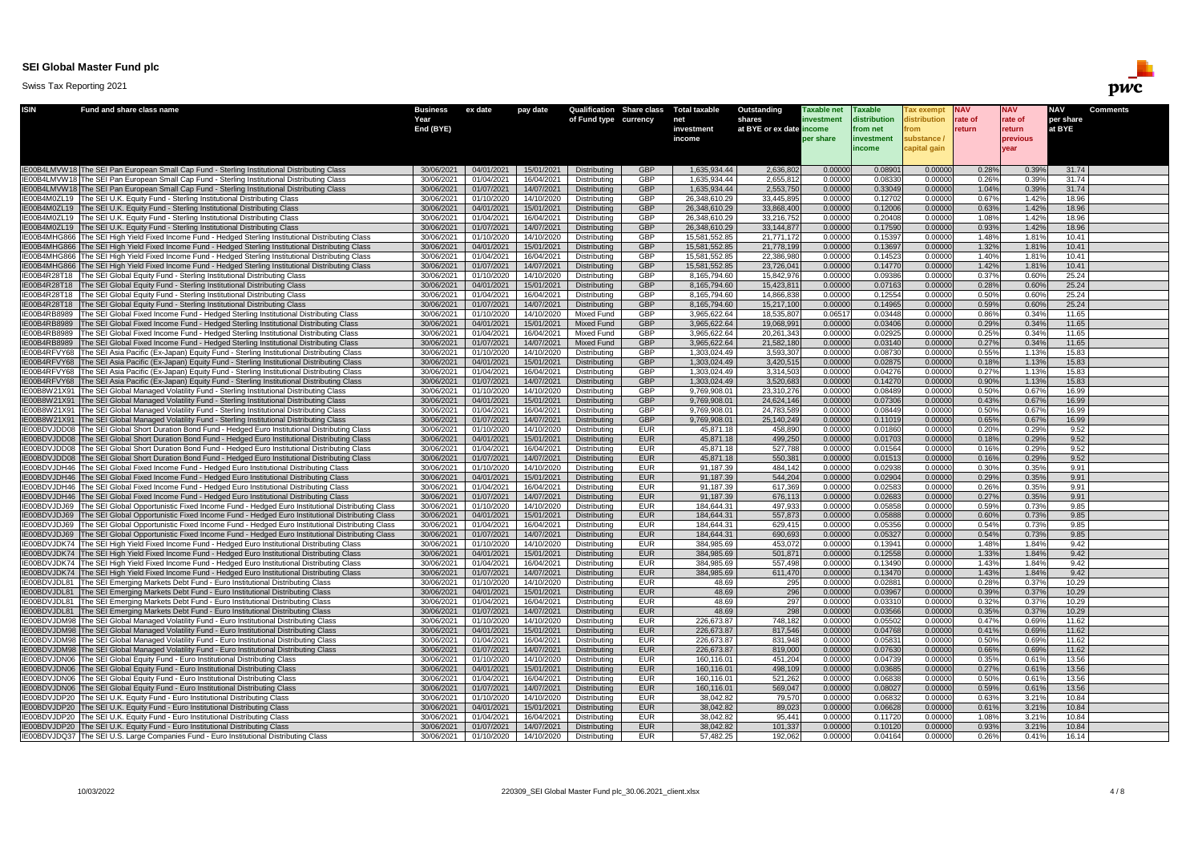| <b>ISIN</b>                  | <b>Fund and share class name</b>                                                                                                                                                                             | <b>Business</b>          | ex date                  | pay date                 |                                        | Qualification Share class Total taxable |                                | <b>Outstanding</b>                 | <b>Taxable net</b> | Taxable                  | Tax exempt          | <b>NAV</b>                       | <b>NAV</b>        | <b>NAV</b>          | <b>Comments</b> |
|------------------------------|--------------------------------------------------------------------------------------------------------------------------------------------------------------------------------------------------------------|--------------------------|--------------------------|--------------------------|----------------------------------------|-----------------------------------------|--------------------------------|------------------------------------|--------------------|--------------------------|---------------------|----------------------------------|-------------------|---------------------|-----------------|
|                              |                                                                                                                                                                                                              | Year<br>End (BYE)        |                          |                          | of Fund type currency                  |                                         | net<br>investment              | shares<br>at BYE or ex date income | nvestment          | distribution<br>from net | distribution<br>rom | <b>rate of</b><br><b>Ireturn</b> | rate of<br>return | per share<br>at BYE |                 |
|                              |                                                                                                                                                                                                              |                          |                          |                          |                                        |                                         | income                         |                                    | per share          | investment               | substance           |                                  | previous          |                     |                 |
|                              |                                                                                                                                                                                                              |                          |                          |                          |                                        |                                         |                                |                                    |                    | <b>income</b>            | capital gain        |                                  | <b>vear</b>       |                     |                 |
|                              |                                                                                                                                                                                                              |                          |                          |                          |                                        |                                         |                                |                                    |                    |                          |                     |                                  |                   |                     |                 |
|                              | IE00B4LMVW18 The SEI Pan European Small Cap Fund - Sterling Institutional Distributing Class                                                                                                                 | 30/06/202                | 04/01/2021               | 15/01/202                | Distributing                           | <b>GBP</b>                              | 1,635,934.44                   | 2,636,802                          | 0.00000            | 0.08901                  | 0.00000             | 0.28%                            | 0.39%             | 31.74               |                 |
|                              | IE00B4LMVW18 The SEI Pan European Small Cap Fund - Sterling Institutional Distributing Class<br>IE00B4LMVW18 The SEI Pan European Small Cap Fund - Sterling Institutional Distributing Class                 | 30/06/202<br>30/06/2021  | 01/04/2021<br>01/07/2021 | 16/04/202<br>14/07/2021  | Distributing<br>Distributing           | <b>GBP</b><br><b>GBP</b>                | 1,635,934.44<br>1,635,934.44   | 2,655,812<br>2,553,750             | 0.0000<br>0.00000  | 0.08330<br>0.33049       | 0.00000<br>0.00000  | 0.26%<br>1.04%                   | 0.39%<br>0.39%    | 31.74<br>31.74      |                 |
|                              | IE00B4M0ZL19   The SEI U.K. Equity Fund - Sterling Institutional Distributing Class                                                                                                                          | 30/06/2021               | 01/10/2020               | 14/10/2020               | Distributing                           | <b>GBP</b>                              | 26,348,610.29                  | 33,445,895                         | 0.00000            | 0.12702                  | 0.00000             | 0.67%                            | 1.42%             | 18.96               |                 |
|                              | IE00B4M0ZL19   The SEI U.K. Equity Fund - Sterling Institutional Distributing Class                                                                                                                          | 30/06/202                | 04/01/2021               | 15/01/2021               | Distributing                           | <b>GBP</b>                              | 26,348,610.29                  | 33,868,400                         | 0.00000            | 0.12006                  | 0.00000             | 0.63%                            | 1.42%             | 18.96               |                 |
|                              | IE00B4M0ZL19 The SEI U.K. Equity Fund - Sterling Institutional Distributing Class                                                                                                                            | 30/06/202                | 01/04/2021               | 16/04/202                | Distributing                           | <b>GBP</b>                              | 26,348,610.29                  | 33,216,752                         | 0.00000            | 0.20408                  | 0.00000             | 1.08%                            | 1.42%             | 18.96               |                 |
|                              | IE00B4M0ZL19 The SEI U.K. Equity Fund - Sterling Institutional Distributing Class                                                                                                                            | 30/06/202                | 01/07/2021               | 14/07/2021               | Distributing                           | <b>GBP</b>                              | 26,348,610.29                  | 33,144,877                         | 0.00000            | 0.17590                  | 0.00000             | 0.93%                            | 1.42%             | 18.96               |                 |
|                              | IE00B4MHG866  The SEI High Yield Fixed Income Fund - Hedged Sterling Institutional Distributing Class                                                                                                        | 30/06/202                | 01/10/2020               | 14/10/2020               | Distributing                           | <b>GBP</b>                              | 15,581,552.85                  | 21,771,172                         | 0.0000             | 0.15397                  | 0.00000             | 1.48%                            | 1.81%             | 10.41               |                 |
|                              | IE00B4MHG866 The SEI High Yield Fixed Income Fund - Hedged Sterling Institutional Distributing Class<br>IE00B4MHG866 The SEI High Yield Fixed Income Fund - Hedged Sterling Institutional Distributing Class | 30/06/202<br>30/06/202   | 04/01/2021<br>01/04/2021 | 15/01/2021<br>16/04/2021 | Distributing<br>Distributing           | <b>GBP</b><br><b>GBP</b>                | 15,581,552.85<br>15,581,552.85 | 21,778,199<br>22,386,980           | 0.00000<br>0.00000 | 0.13697<br>0.14523       | 0.00000<br>0.00000  | 1.32%<br>1.40%                   | 1.81%<br>1.81%    | 10.41<br>10.41      |                 |
|                              | IE00B4MHG866 The SEI High Yield Fixed Income Fund - Hedged Sterling Institutional Distributing Class                                                                                                         | 30/06/202                | 01/07/2021               | 14/07/2021               | Distributing                           | <b>GBP</b>                              | 15,581,552.85                  | 23,726,041                         | 0.00000            | 0.14770                  | 0.00000             | 1.42%                            | 1.81%             | 10.41               |                 |
| IE00B4R28T18                 | The SEI Global Equity Fund - Sterling Institutional Distributing Class                                                                                                                                       | 30/06/202                | 01/10/2020               | 14/10/2020               | Distributing                           | <b>GBP</b>                              | 8,165,794.60                   | 15,842,976                         | 0.0000             | 0.09386                  | 0.00000             | 0.37%                            | 0.60%             | 25.24               |                 |
| IE00B4R28T18                 | The SEI Global Equity Fund - Sterling Institutional Distributing Class                                                                                                                                       | 30/06/202                | 04/01/2021               | 15/01/2021               | Distributing                           | <b>GBP</b>                              | 8,165,794.60                   | 15,423,811                         | 0.00000            | 0.07163                  | 0.00000             | 0.28%                            | 0.60%             | 25.24               |                 |
| IE00B4R28T18                 | The SEI Global Equity Fund - Sterling Institutional Distributing Class                                                                                                                                       | 30/06/202                | 01/04/2021               | 16/04/2021               | Distributing                           | <b>GBP</b>                              | 8,165,794.60                   | 14,866,838                         | 0.00000            | 0.12554                  | 0.00000             | 0.50%                            | 0.60%             | 25.24               |                 |
| IE00B4R28T18                 | The SEI Global Equity Fund - Sterling Institutional Distributing Class                                                                                                                                       | 30/06/202                | 01/07/2021               | 14/07/2021               | Distributing                           | <b>GBP</b>                              | 8,165,794.60                   | 15,217,100                         | 0.00000            | 0.14965                  | 0.00000             | 0.59%                            | 0.60%             | 25.24               |                 |
| IE00B4RB8989                 | The SEI Global Fixed Income Fund - Hedged Sterling Institutional Distributing Class                                                                                                                          | 30/06/202                | 01/10/2020               | 14/10/2020               | <b>Mixed Fund</b>                      | <b>GBP</b>                              | 3,965,622.64                   | 18,535,807                         | 0.06517            | 0.03448                  | 0.00000             | 0.86%                            | 0.34%             | 11.65               |                 |
| IE00B4RB8989<br>IE00B4RB8989 | The SEI Global Fixed Income Fund - Hedged Sterling Institutional Distributing Class<br>The SEI Global Fixed Income Fund - Hedged Sterling Institutional Distributing Class                                   | 30/06/202<br>30/06/202   | 04/01/2021<br>01/04/2021 | 15/01/2021<br>16/04/2021 | <b>Mixed Fund</b><br><b>Mixed Fund</b> | <b>GBP</b><br><b>GBP</b>                | 3,965,622.64<br>3,965,622.64   | 19,068,991<br>20,261,343           | 0.00000<br>0.00000 | 0.03406<br>0.02925       | 0.00000<br>0.00000  | 0.29%<br>0.25%                   | 0.34%<br>0.34%    | 11.65<br>11.65      |                 |
|                              | IE00B4RB8989 The SEI Global Fixed Income Fund - Hedged Sterling Institutional Distributing Class                                                                                                             | 30/06/202                | 01/07/2021               | 14/07/2021               | <b>Mixed Fund</b>                      | <b>GBP</b>                              | 3,965,622.64                   | 21,582,180                         | 0.00000            | 0.03140                  | 0.00000             | 0.27%                            | 0.34%             | 11.65               |                 |
|                              | IE00B4RFVY68 The SEI Asia Pacific (Ex-Japan) Equity Fund - Sterling Institutional Distributing Class                                                                                                         | 30/06/2021               | 01/10/2020               | 14/10/2020               | Distributing                           | <b>GBP</b>                              | 1,303,024.49                   | 3,593,307                          | 0.0000             | 0.08730                  | 0.00000             | 0.55%                            | 1.13%             | 15.83               |                 |
|                              | IE00B4RFVY68   The SEI Asia Pacific (Ex-Japan) Equity Fund - Sterling Institutional Distributing Class                                                                                                       | 30/06/2021               | 04/01/2021               | 15/01/2021               | Distributing                           | <b>GBP</b>                              | 1,303,024.49                   | 3,420,515                          | 0.00000            | 0.02875                  | 0.00000             | 0.18%                            | 1.13%             | 15.83               |                 |
|                              | IE00B4RFVY68   The SEI Asia Pacific (Ex-Japan) Equity Fund - Sterling Institutional Distributing Class                                                                                                       | 30/06/202                | 01/04/2021               | 16/04/2021               | Distributing                           | <b>GBP</b>                              | 1,303,024.49                   | 3,314,503                          | 0.00000            | 0.04276                  | 0.00000             | 0.27%                            | 1.13%             | 15.83               |                 |
|                              | IE00B4RFVY68 The SEI Asia Pacific (Ex-Japan) Equity Fund - Sterling Institutional Distributing Class                                                                                                         | 30/06/202                | 01/07/2021               | 14/07/2021               | Distributing                           | <b>GBP</b>                              | 1,303,024.49                   | 3,520,683                          | 0.00000            | 0.14270                  | 0.00000             | 0.90%                            | 1.13%             | 15.83               |                 |
| IE00B8W21X91                 | The SEI Global Managed Volatility Fund - Sterling Institutional Distributing Class                                                                                                                           | 30/06/202                | 01/10/2020               | 14/10/2020               | Distributing                           | <b>GBP</b>                              | 9,769,908.01                   | 23,310,276                         | 0.00000            | 0.08489                  | 0.00000             | 0.50%                            | 0.67%             | 16.99               |                 |
| IE00B8W21X91                 | The SEI Global Managed Volatility Fund - Sterling Institutional Distributing Class                                                                                                                           | 30/06/202                | 04/01/2021<br>01/04/2021 | 15/01/2021<br>16/04/2021 | Distributing<br>Distributing           | <b>GBP</b><br><b>GBP</b>                | 9,769,908.01<br>9,769,908.01   | 24,624,146<br>24,783,589           | 0.00000<br>0.0000  | 0.07306<br>0.08449       | 0.00000<br>0.00000  | 0.43%<br>0.50%                   | 0.67%<br>0.67%    | 16.99<br>16.99      |                 |
| IE00B8W21X91                 | The SEI Global Managed Volatility Fund - Sterling Institutional Distributing Class<br>IE00B8W21X91 The SEI Global Managed Volatility Fund - Sterling Institutional Distributing Class                        | 30/06/202<br>30/06/202   | 01/07/2021               | 14/07/2021               | Distributing                           | <b>GBP</b>                              | 9,769,908.0                    | 25,140,249                         | 0.00000            | 0.11019                  | 0.00000             | 0.65%                            | 0.67%             | 16.99               |                 |
|                              | IE00BDVJDD08 The SEI Global Short Duration Bond Fund - Hedged Euro Institutional Distributing Class                                                                                                          | 30/06/202                | 01/10/2020               | 14/10/2020               | Distributing                           | <b>EUR</b>                              | 45,871.18                      | 458,890                            | 0.00000            | 0.01860                  | 0.00000             | 0.20%                            | 0.29%             | 9.52                |                 |
|                              | IE00BDVJDD08 The SEI Global Short Duration Bond Fund - Hedged Euro Institutional Distributing Class                                                                                                          | 30/06/2021               | 04/01/2021               | 15/01/2021               | Distributing                           | <b>EUR</b>                              | 45,871.18                      | 499,250                            | 0.00000            | 0.01703                  | 0.00000             | 0.18%                            | 0.29%             | 9.52                |                 |
|                              | IE00BDVJDD08 The SEI Global Short Duration Bond Fund - Hedged Euro Institutional Distributing Class                                                                                                          | 30/06/2021               | 01/04/2021               | 16/04/2021               | Distributing                           | <b>EUR</b>                              | 45,871.18                      | 527,788                            | 0.00000            | 0.01564                  | 0.00000             | 0.16%                            | 0.29%             | 9.52                |                 |
|                              | IE00BDVJDD08 The SEI Global Short Duration Bond Fund - Hedged Euro Institutional Distributing Class                                                                                                          | 30/06/2021               | 01/07/2021               | 14/07/2021               | Distributing                           | <b>EUR</b>                              | 45,871.18                      | 550,381                            | 0.00000            | 0.01513                  | 0.00000             | 0.16%                            | 0.29%             | 9.52                |                 |
|                              | IE00BDVJDH46 The SEI Global Fixed Income Fund - Hedged Euro Institutional Distributing Class                                                                                                                 | 30/06/2021               | 01/10/2020               | 14/10/2020               | Distributing                           | <b>EUR</b>                              | 91,187.39                      | 484,142                            | 0.00000            | 0.02938                  | 0.00000             | 0.30%                            | 0.35%             | 9.91                |                 |
|                              | IE00BDVJDH46 The SEI Global Fixed Income Fund - Hedged Euro Institutional Distributing Class                                                                                                                 | 30/06/2021               | 04/01/2021               | 15/01/2021               | Distributing                           | <b>EUR</b>                              | 91,187.39                      | 544,204                            | 0.00000            | 0.02904                  | 0.00000             | 0.29%                            | 0.35%             | 9.91                |                 |
|                              | IE00BDVJDH46 The SEI Global Fixed Income Fund - Hedged Euro Institutional Distributing Class<br>IE00BDVJDH46 The SEI Global Fixed Income Fund - Hedged Euro Institutional Distributing Class                 | 30/06/2021<br>30/06/2021 | 01/04/2021<br>01/07/2021 | 16/04/2021<br>14/07/2021 | Distributing<br>Distributing           | <b>EUR</b><br><b>EUR</b>                | 91,187.39<br>91,187.39         | 617,369<br>676,113                 | 0.0000<br>0.00000  | 0.02583<br>0.02683       | 0.00000<br>0.00000  | 0.26%<br>0.27%                   | 0.35%<br>0.35%    | 9.91<br>9.91        |                 |
|                              | IE00BDVJDJ69 The SEI Global Opportunistic Fixed Income Fund - Hedged Euro Institutional Distributing Class                                                                                                   | 30/06/202                | 01/10/2020               | 14/10/2020               | Distributing                           | <b>EUR</b>                              | 184,644.31                     | 497,933                            | 0.00000            | 0.05858                  | 0.00000             | 0.59%                            | 0.73%             | 9.85                |                 |
|                              | IE00BDVJDJ69 The SEI Global Opportunistic Fixed Income Fund - Hedged Euro Institutional Distributing Class                                                                                                   | 30/06/202                | 04/01/2021               | 15/01/2021               | Distributing                           | <b>EUR</b>                              | 184,644.31                     | 557,873                            | 0.00000            | 0.05888                  | 0.00000             | 0.60%                            | 0.73%             | 9.85                |                 |
|                              | IE00BDVJDJ69 The SEI Global Opportunistic Fixed Income Fund - Hedged Euro Institutional Distributing Class                                                                                                   | 30/06/2021               | 01/04/2021               | 16/04/2021               | Distributing                           | <b>EUR</b>                              | 184,644.31                     | 629,415                            | 0.0000             | 0.05356                  | 0.00000             | 0.54%                            | 0.73%             | 9.85                |                 |
|                              | IE00BDVJDJ69 The SEI Global Opportunistic Fixed Income Fund - Hedged Euro Institutional Distributing Class                                                                                                   | 30/06/2021               | 01/07/2021               | 14/07/2021               | Distributing                           | <b>EUR</b>                              | 184,644.31                     | 690,693                            | 0.00000            | 0.05327                  | 0.0000C             | 0.54%                            | 0.73%             | 9.85                |                 |
|                              | IE00BDVJDK74 The SEI High Yield Fixed Income Fund - Hedged Euro Institutional Distributing Class                                                                                                             | 30/06/202                | 01/10/2020               | 14/10/2020               | Distributing                           | <b>EUR</b>                              | 384,985.69                     | 453,072                            | 0.00000            | 0.13941                  | 0.00000             | 1.48%                            | 1.84%             | 9.42                |                 |
|                              | IE00BDVJDK74 The SEI High Yield Fixed Income Fund - Hedged Euro Institutional Distributing Class                                                                                                             | 30/06/202                | 04/01/2021               | 15/01/2021               | Distributing                           | <b>EUR</b>                              | 384,985.69                     | 501,871                            | 0.00000            | 0.12558                  | 0.00000             | 1.33%                            | 1.84%             | 9.42                |                 |
|                              | IE00BDVJDK74 The SEI High Yield Fixed Income Fund - Hedged Euro Institutional Distributing Class<br>IE00BDVJDK74 The SEI High Yield Fixed Income Fund - Hedged Euro Institutional Distributing Class         | 30/06/202<br>30/06/2021  | 01/04/2021<br>01/07/2021 | 16/04/2021<br>14/07/2021 | Distributing<br>Distributing           | <b>EUR</b><br><b>EUR</b>                | 384,985.69<br>384,985.69       | 557,498<br>611,470                 | 0.0000<br>0.00000  | 0.13490<br>0.13470       | 0.00000<br>0.00000  | 1.43%<br>1.43%                   | 1.84%<br>1.84%    | 9.42<br>9.42        |                 |
|                              | IE00BDVJDL81 The SEI Emerging Markets Debt Fund - Euro Institutional Distributing Class                                                                                                                      | 30/06/202                | 01/10/2020               | 14/10/2020               | Distributing                           | <b>EUR</b>                              | 48.69                          | 295                                | 0.00000            | 0.02881                  | 0.00000             | 0.28%                            | 0.37%             | 10.29               |                 |
|                              | IE00BDVJDL81   The SEI Emerging Markets Debt Fund - Euro Institutional Distributing Class                                                                                                                    | 30/06/202                | 04/01/2021               | 15/01/2021               | Distributing                           | <b>EUR</b>                              | 48.69                          | 296                                | 0.00000            | 0.03967                  | 0.00000             | 0.39%                            | 0.37%             | 10.29               |                 |
| IE00BDVJDL81                 | The SEI Emerging Markets Debt Fund - Euro Institutional Distributing Class                                                                                                                                   | 30/06/202                | 01/04/2021               | 16/04/2021               | Distributing                           | <b>EUR</b>                              | 48.69                          | 297                                | 0.0000             | 0.03310                  | 0.00000             | 0.32%                            | 0.37%             | 10.29               |                 |
|                              | IE00BDVJDL81 The SEI Emerging Markets Debt Fund - Euro Institutional Distributing Class                                                                                                                      | 30/06/2021               | 01/07/2021               | 14/07/2021               | Distributing                           | <b>EUR</b>                              | 48.69                          | 298                                | 0.00000            | 0.03566                  | 0.00000             | 0.35%                            | 0.37%             | 10.29               |                 |
|                              | IE00BDVJDM98 The SEI Global Managed Volatility Fund - Euro Institutional Distributing Class                                                                                                                  | 30/06/2021               | 01/10/2020               | 14/10/2020               | Distributing                           | <b>EUR</b>                              | 226,673.87                     | 748,182                            | 0.00000            | 0.05502                  | 0.00000             | 0.47%                            | 0.69%             | 11.62               |                 |
|                              | IE00BDVJDM98 The SEI Global Managed Volatility Fund - Euro Institutional Distributing Class                                                                                                                  | 30/06/2021               | 04/01/2021               | 15/01/2021               | Distributing                           | <b>EUR</b>                              | 226,673.87                     | 817,546                            | 0.00000            | 0.04768                  | 0.00000             | 0.41%                            | 0.69%             | 11.62               |                 |
|                              | IE00BDVJDM98 The SEI Global Managed Volatility Fund - Euro Institutional Distributing Class<br>IE00BDVJDM98 The SEI Global Managed Volatility Fund - Euro Institutional Distributing Class                   | 30/06/202<br>30/06/2021  | 01/04/2021<br>01/07/2021 | 16/04/2021<br>14/07/2021 | Distributing<br>Distributing           | <b>EUR</b><br><b>EUR</b>                | 226,673.87<br>226,673.87       | 831,948<br>819,000                 | 0.00000<br>0.00000 | 0.05831<br>0.07630       | 0.00000<br>0.00000  | 0.50%<br>0.66%                   | 0.69%<br>0.69%    | 11.62<br>11.62      |                 |
|                              | IE00BDVJDN06 The SEI Global Equity Fund - Euro Institutional Distributing Class                                                                                                                              | 30/06/2021               | 01/10/2020               | 14/10/2020               | Distributing                           | <b>EUR</b>                              | 160,116.01                     | 451,204                            | 0.00000            | 0.04739                  | 0.00000             | 0.35%                            | 0.61%             | 13.56               |                 |
|                              | IE00BDVJDN06 The SEI Global Equity Fund - Euro Institutional Distributing Class                                                                                                                              | 30/06/202                | 04/01/2021               | 15/01/2021               | Distributing                           | <b>EUR</b>                              | 160,116.01                     | 498,109                            | 0.00000            | 0.03685                  | 0.00000             | 0.27%                            | 0.61%             | 13.56               |                 |
|                              | IE00BDVJDN06 The SEI Global Equity Fund - Euro Institutional Distributing Class                                                                                                                              | 30/06/202                | 01/04/2021               | 16/04/2021               | Distributing                           | <b>EUR</b>                              | 160,116.01                     | 521,262                            | 0.00000            | 0.06838                  | 0.00000             | 0.50%                            | 0.61%             | 13.56               |                 |
|                              | IE00BDVJDN06 The SEI Global Equity Fund - Euro Institutional Distributing Class                                                                                                                              | 30/06/2021               | 01/07/2021               | 14/07/2021               | Distributing                           | <b>EUR</b>                              | 160,116.01                     | 569,047                            | 0.00000            | 0.08027                  | 0.00000             | 0.59%                            | 0.61%             | 13.56               |                 |
|                              | IE00BDVJDP20 The SEI U.K. Equity Fund - Euro Institutional Distributing Class                                                                                                                                | 30/06/2021               | 01/10/2020               | 14/10/2020               | Distributing                           | <b>EUR</b>                              | 38,042.82                      | 79,570                             | 0.00000            | 0.06832                  | 0.0000C             | 0.63%                            | 3.21%             | 10.84               |                 |
|                              | IE00BDVJDP20 The SEI U.K. Equity Fund - Euro Institutional Distributing Class                                                                                                                                | 30/06/2021               | 04/01/2021               | 15/01/2021               | Distributing                           | <b>EUR</b>                              | 38,042.82                      | 89,023                             | 0.00000            | 0.06628                  | 0.00000             | 0.61%                            | 3.21%             | 10.84               |                 |
|                              | IE00BDVJDP20   The SEI U.K. Equity Fund - Euro Institutional Distributing Class<br>IE00BDVJDP20   The SEI U.K. Equity Fund - Euro Institutional Distributing Class                                           | 30/06/2021<br>30/06/202  | 01/04/2021<br>01/07/2021 | 16/04/2021<br>14/07/2021 | Distributing<br>Distributing           | <b>EUR</b><br><b>EUR</b>                | 38,042.82<br>38,042.82         | 95,441<br>101,337                  | 0.00000<br>0.00000 | 0.11720<br>0.10120       | 0.00000<br>0.00000  | 1.08%<br>0.93%                   | 3.21%<br>3.21%    | 10.84<br>10.84      |                 |
|                              | IE00BDVJDQ37 The SEI U.S. Large Companies Fund - Euro Institutional Distributing Class                                                                                                                       | 30/06/2021               | 01/10/2020               | 14/10/2020               | Distributing                           | EUR                                     | 57,482.25                      | 192,062                            | 0.0000             | 0.04164                  | 0.00000             | 0.26%                            | 0.41%             | 16.14               |                 |
|                              |                                                                                                                                                                                                              |                          |                          |                          |                                        |                                         |                                |                                    |                    |                          |                     |                                  |                   |                     |                 |

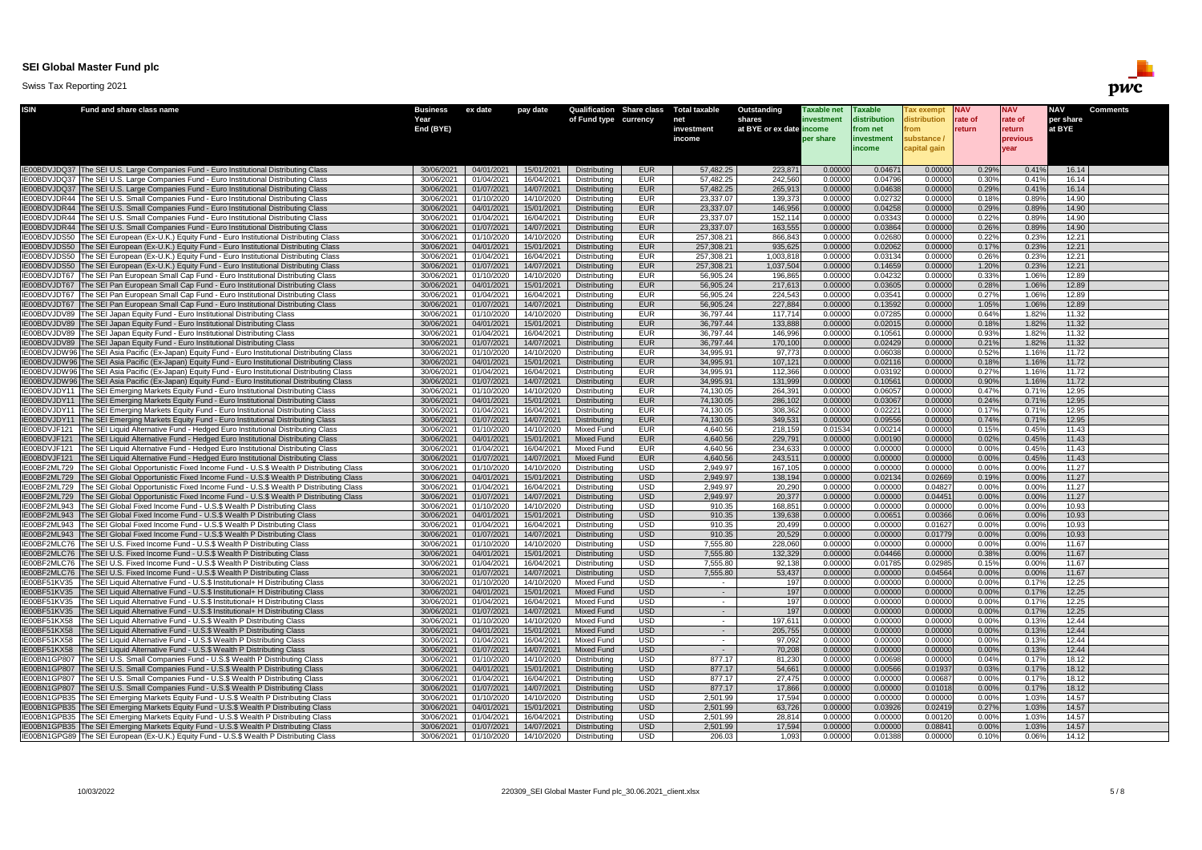| <b>ISIN</b>                  | <b>Fund and share class name</b>                                                                                                                                                       | <b>Business</b>         | ex date                  | pay date                 |                              |                          | <b>Qualification Share class Total taxable</b> | <b>Outstanding</b>                 | <b>Taxable net</b> | <b>Taxable</b>           | Tax exempt          | <b>NAV</b>        | <b>NAV</b>               | <b>NAV</b>          | <b>Comments</b> |
|------------------------------|----------------------------------------------------------------------------------------------------------------------------------------------------------------------------------------|-------------------------|--------------------------|--------------------------|------------------------------|--------------------------|------------------------------------------------|------------------------------------|--------------------|--------------------------|---------------------|-------------------|--------------------------|---------------------|-----------------|
|                              |                                                                                                                                                                                        | Year<br>End (BYE)       |                          |                          | of Fund type currency        |                          | net<br>investment                              | shares<br>at BYE or ex date income | investment         | distribution<br>from net | distribution<br>rom | rate of<br>return | <b>rate of</b><br>return | per share<br>at BYE |                 |
|                              |                                                                                                                                                                                        |                         |                          |                          |                              |                          | income                                         |                                    | per share          | investment               | substance           |                   | previous                 |                     |                 |
|                              |                                                                                                                                                                                        |                         |                          |                          |                              |                          |                                                |                                    |                    | income                   | capital gain        |                   | vear                     |                     |                 |
|                              |                                                                                                                                                                                        |                         |                          |                          |                              |                          |                                                |                                    |                    |                          |                     |                   |                          |                     |                 |
|                              | IE00BDVJDQ37 The SEI U.S. Large Companies Fund - Euro Institutional Distributing Class<br>IE00BDVJDQ37 The SEI U.S. Large Companies Fund - Euro Institutional Distributing Class       | 30/06/202'<br>30/06/202 | 04/01/2021<br>01/04/2021 | 15/01/2021<br>16/04/2021 | Distributing<br>Distributing | <b>EUR</b><br><b>EUR</b> | 57,482.25<br>57,482.25                         | 223,87'<br>242,560                 | 0.0000<br>0.0000   | 0.04671<br>0.04796       | 0.00000<br>0.00000  | 0.29%<br>0.30%    | 0.41%<br>0.41%           | 16.14<br>16.14      |                 |
|                              | IE00BDVJDQ37 The SEI U.S. Large Companies Fund - Euro Institutional Distributing Class                                                                                                 | 30/06/202               | 01/07/2021               | 14/07/2021               | Distributing                 | <b>EUR</b>               | 57,482.25                                      | 265,913                            | 0.00000            | 0.04638                  | 0.00000             | 0.29%             | 0.41%                    | 16.14               |                 |
|                              | IE00BDVJDR44 The SEI U.S. Small Companies Fund - Euro Institutional Distributing Class                                                                                                 | 30/06/202               | 01/10/2020               | 14/10/2020               | Distributing                 | <b>EUR</b>               | 23,337.07                                      | 139,373                            | 0.0000             | 0.02732                  | 0.00000             | 0.18%             | 0.89%                    | 14.90               |                 |
|                              | IE00BDVJDR44 The SEI U.S. Small Companies Fund - Euro Institutional Distributing Class                                                                                                 | 30/06/2021              | 04/01/2021               | 15/01/2021               | <b>Distributing</b>          | <b>EUR</b>               | 23,337.07                                      | 146,956                            | 0.00000            | 0.04258                  | 0.00000             | 0.29%             | 0.89%                    | 14.90               |                 |
|                              | IE00BDVJDR44 The SEI U.S. Small Companies Fund - Euro Institutional Distributing Class                                                                                                 | 30/06/202               | 01/04/2021               | 16/04/2021               | Distributing                 | <b>EUR</b>               | 23,337.07                                      | 152,114                            | 0.00000            | 0.03343                  | 0.00000             | 0.22%             | 0.89%                    | 14.90               |                 |
|                              | IE00BDVJDR44 The SEI U.S. Small Companies Fund - Euro Institutional Distributing Class                                                                                                 | 30/06/202               | 01/07/2021               | 14/07/2021               | Distributing                 | <b>EUR</b>               | 23,337.07                                      | 163,555                            | 0.00000            | 0.03864                  | 0.00000             | 0.26%             | 0.89%                    | 14.90               |                 |
|                              | IE00BDVJDS50 The SEI European (Ex-U.K.) Equity Fund - Euro Institutional Distributing Class                                                                                            | 30/06/202               | 01/10/2020               | 14/10/2020               | Distributing                 | <b>EUR</b>               | 257,308.21                                     | 866,843                            | 0.0000             | 0.02680                  | 0.00000             | 0.22%             | 0.23%                    | 12.21               |                 |
|                              | IE00BDVJDS50 The SEI European (Ex-U.K.) Equity Fund - Euro Institutional Distributing Class                                                                                            | 30/06/2021              | 04/01/2021               | 15/01/2021               | Distributing                 | <b>EUR</b>               | 257,308.21                                     | 935,625                            | 0.0000             | 0.02062                  | 0.00000             | 0.17%             | 0.23%                    | 12.21               |                 |
|                              | IE00BDVJDS50  The SEI European (Ex-U.K.) Equity Fund - Euro Institutional Distributing Class                                                                                           | 30/06/202               | 01/04/2021               | 16/04/2021               | Distributing                 | <b>EUR</b>               | 257,308.21                                     | 1,003,818                          | 0.00000            | 0.03134                  | 0.00000             | 0.26%             | 0.23%                    | 12.21               |                 |
|                              | IE00BDVJDS50 The SEI European (Ex-U.K.) Equity Fund - Euro Institutional Distributing Class                                                                                            | 30/06/202               | 01/07/2021               | 14/07/2021<br>14/10/2020 | <b>Distributing</b>          | <b>EUR</b><br><b>EUR</b> | 257,308.21                                     | 1,037,504                          | 0.00000<br>0.00000 | 0.14659<br>0.04232       | 0.00000<br>0.00000  | 1.20%<br>0.33%    | 0.23%                    | 12.21<br>12.89      |                 |
|                              | IE00BDVJDT67   The SEI Pan European Small Cap Fund - Euro Institutional Distributing Class<br>IE00BDVJDT67 The SEI Pan European Small Cap Fund - Euro Institutional Distributing Class | 30/06/202<br>30/06/2021 | 01/10/2020<br>04/01/2021 | 15/01/2021               | Distributing<br>Distributing | <b>EUR</b>               | 56,905.24<br>56,905.24                         | 196,865<br>217,613                 | 0.0000             | 0.03605                  | 0.00000             | 0.28%             | 1.06%<br>1.06%           | 12.89               |                 |
|                              | IE00BDVJDT67   The SEI Pan European Small Cap Fund - Euro Institutional Distributing Class                                                                                             | 30/06/202               | 01/04/2021               | 16/04/2021               | Distributing                 | <b>EUR</b>               | 56,905.24                                      | 224,543                            | 0.0000             | 0.03541                  | 0.00000             | 0.27%             | 1.06%                    | 12.89               |                 |
|                              | IE00BDVJDT67   The SEI Pan European Small Cap Fund - Euro Institutional Distributing Class                                                                                             | 30/06/202               | 01/07/2021               | 14/07/2021               | Distributing                 | <b>EUR</b>               | 56,905.24                                      | 227,884                            | 0.00000            | 0.13592                  | 0.00000             | 1.05%             | 1.06%                    | 12.89               |                 |
|                              | IE00BDVJDV89 The SEI Japan Equity Fund - Euro Institutional Distributing Class                                                                                                         | 30/06/202               | 01/10/2020               | 14/10/2020               | Distributing                 | <b>EUR</b>               | 36,797.44                                      | 117,714                            | 0.00000            | 0.07285                  | 0.00000             | 0.64%             | 1.82%                    | 11.32               |                 |
|                              | IE00BDVJDV89 The SEI Japan Equity Fund - Euro Institutional Distributing Class                                                                                                         | 30/06/202               | 04/01/2021               | 15/01/2021               | Distributing                 | <b>EUR</b>               | 36,797.44                                      | 133,888                            | 0.00000            | 0.02015                  | 0.00000             | 0.18%             | 1.82%                    | 11.32               |                 |
|                              | IE00BDVJDV89 The SEI Japan Equity Fund - Euro Institutional Distributing Class                                                                                                         | 30/06/202               | 01/04/2021               | 16/04/2021               | Distributing                 | <b>EUR</b>               | 36,797.44                                      | 146,996                            | 0.0000             | 0.10561                  | 0.00000             | 0.93%             | 1.82%                    | 11.32               |                 |
|                              | IE00BDVJDV89 The SEI Japan Equity Fund - Euro Institutional Distributing Class                                                                                                         | 30/06/202               | 01/07/2021               | 14/07/2021               | Distributing                 | <b>EUR</b>               | 36,797.44                                      | 170,100                            | 0.00000            | 0.02429                  | 0.00000             | 0.21%             | 1.82%                    | 11.32               |                 |
|                              | IE00BDVJDW96 The SEI Asia Pacific (Ex-Japan) Equity Fund - Euro Institutional Distributing Class                                                                                       | 30/06/202               | 01/10/2020               | 14/10/2020               | Distributing                 | <b>EUR</b>               | 34,995.91                                      | 97,773                             | 0.0000             | 0.06038                  | 0.00000             | 0.52%             | 1.16%                    | 11.72               |                 |
|                              | IE00BDVJDW96 The SEI Asia Pacific (Ex-Japan) Equity Fund - Euro Institutional Distributing Class                                                                                       | 30/06/202               | 04/01/2021               | 15/01/2021               | Distributing                 | <b>EUR</b>               | 34,995.91                                      | 107,121                            | 0.00000            | 0.02116                  | 0.00000             | 0.18%             | 1.16%                    | 11.72               |                 |
|                              | IE00BDVJDW96 The SEI Asia Pacific (Ex-Japan) Equity Fund - Euro Institutional Distributing Class                                                                                       | 30/06/202               | 01/04/2021               | 16/04/2021               | Distributing                 | <b>EUR</b>               | 34,995.91                                      | 112,366                            | 0.0000             | 0.03192                  | 0.00000             | 0.27%             | 1.16%                    | 11.72               |                 |
|                              | IE00BDVJDW96 The SEI Asia Pacific (Ex-Japan) Equity Fund - Euro Institutional Distributing Class                                                                                       | 30/06/2021              | 01/07/2021               | 14/07/2021               | Distributing                 | <b>EUR</b>               | 34,995.91                                      | 131,999                            | 0.00000            | 0.10561                  | 0.00000             | 0.90%             | 1.16%                    | 11.72               |                 |
|                              | IE00BDVJDY11 The SEI Emerging Markets Equity Fund - Euro Institutional Distributing Class                                                                                              | 30/06/202               | 01/10/2020               | 14/10/2020               | Distributing                 | <b>EUR</b>               | 74,130.05                                      | 264,391                            | 0.00000            | 0.06057                  | 0.00000             | 0.47%             | 0.71%                    | 12.95               |                 |
| IE00BDVJDY11                 | The SEI Emerging Markets Equity Fund - Euro Institutional Distributing Class                                                                                                           | 30/06/202               | 04/01/2021               | 15/01/2021               | Distributing                 | <b>EUR</b>               | 74,130.05                                      | 286,102                            | 0.00000            | 0.03067                  | 0.00000             | 0.24%             | 0.71%                    | 12.95               |                 |
| IE00BDVJDY11<br>IE00BDVJDY11 | The SEI Emerging Markets Equity Fund - Euro Institutional Distributing Class<br>The SEI Emerging Markets Equity Fund - Euro Institutional Distributing Class                           | 30/06/202<br>30/06/202  | 01/04/2021<br>01/07/2021 | 16/04/2021<br>14/07/2021 | Distributing<br>Distributing | <b>EUR</b><br><b>EUR</b> | 74,130.05<br>74,130.05                         | 308,362<br>349,531                 | 0.0000<br>0.00000  | 0.02221<br>0.09556       | 0.00000<br>0.00000  | 0.17%<br>0.74%    | 0.71%<br>0.71%           | 12.95<br>12.95      |                 |
| IE00BDVJF121                 | The SEI Liquid Alternative Fund - Hedged Euro Institutional Distributing Class                                                                                                         | 30/06/202               | 01/10/2020               | 14/10/2020               | <b>Mixed Fund</b>            | <b>EUR</b>               | 4,640.56                                       | 218,159                            | 0.01534            | 0.00214                  | 0.00000             | 0.15%             | 0.45%                    | 11.43               |                 |
|                              | IE00BDVJF121   The SEI Liquid Alternative Fund - Hedged Euro Institutional Distributing Class                                                                                          | 30/06/2021              | 04/01/2021               | 15/01/2021               | <b>Mixed Fund</b>            | <b>EUR</b>               | 4,640.56                                       | 229,791                            | 0.00000            | 0.00190                  | 0.00000             | 0.02%             | 0.45%                    | 11.43               |                 |
|                              | IE00BDVJF121 The SEI Liquid Alternative Fund - Hedged Euro Institutional Distributing Class                                                                                            | 30/06/2021              | 01/04/2021               | 16/04/2021               | Mixed Fund                   | <b>EUR</b>               | 4,640.56                                       | 234,633                            | 0.00000            | 0.00000                  | 0.00000             | 0.00%             | 0.45%                    | 11.43               |                 |
|                              | IE00BDVJF121   The SEI Liquid Alternative Fund - Hedged Euro Institutional Distributing Class                                                                                          | 30/06/2021              | 01/07/2021               | 14/07/2021               | <b>Mixed Fund</b>            | <b>EUR</b>               | 4,640.56                                       | 243,511                            | 0.00000            | 0.00000                  | 0.00000             | 0.00%             | 0.45%                    | 11.43               |                 |
|                              | IE00BF2ML729 The SEI Global Opportunistic Fixed Income Fund - U.S.\$ Wealth P Distributing Class                                                                                       | 30/06/2021              | 01/10/2020               | 14/10/2020               | Distributing                 | <b>USD</b>               | 2,949.97                                       | 167,105                            | 0.0000             | 0.00000                  | 0.00000             | 0.00%             | 0.00%                    | 11.27               |                 |
|                              | IE00BF2ML729 The SEI Global Opportunistic Fixed Income Fund - U.S.\$ Wealth P Distributing Class                                                                                       | 30/06/2021              | 04/01/2021               | 15/01/2021               | Distributing                 | <b>USD</b>               | 2,949.97                                       | 138,194                            | 0.00000            | 0.02134                  | 0.02669             | 0.19%             | 0.00%                    | 11.27               |                 |
|                              | IE00BF2ML729 The SEI Global Opportunistic Fixed Income Fund - U.S.\$ Wealth P Distributing Class                                                                                       | 30/06/202               | 01/04/2021               | 16/04/2021               | Distributing                 | <b>USD</b>               | 2,949.97                                       | 20,290                             | 0.00000            | 0.00000                  | 0.04827             | 0.00%             | 0.00%                    | 11.27               |                 |
|                              | IE00BF2ML729 The SEI Global Opportunistic Fixed Income Fund - U.S.\$ Wealth P Distributing Class                                                                                       | 30/06/202               | 01/07/2021               | 14/07/2021               | Distributing                 | <b>USD</b>               | 2,949.97                                       | 20,377                             | 0.00000            | 0.00000                  | 0.04451             | 0.00%             | 0.00%                    | 11.27               |                 |
|                              | IE00BF2ML943 The SEI Global Fixed Income Fund - U.S.\$ Wealth P Distributing Class                                                                                                     | 30/06/202               | 01/10/2020               | 14/10/2020               | Distributing                 | <b>USD</b>               | 910.35                                         | 168,851                            | 0.0000             | 0.00000                  | 0.00000             | 0.00%             | 0.00%                    | 10.93               |                 |
|                              | IE00BF2ML943 The SEI Global Fixed Income Fund - U.S.\$ Wealth P Distributing Class                                                                                                     | 30/06/202               | 04/01/2021               | 15/01/2021               | Distributing                 | <b>USD</b>               | 910.35                                         | 139,638                            | 0.00000            | 0.00651                  | 0.00366             | 0.06%             | 0.00%                    | 10.93               |                 |
|                              | IE00BF2ML943 The SEI Global Fixed Income Fund - U.S.\$ Wealth P Distributing Class                                                                                                     | 30/06/202               | 01/04/2021               | 16/04/2021               | Distributing                 | <b>USD</b>               | 910.35                                         | 20,499                             | 0.00000            | 0.00000                  | 0.01627             | 0.00%             | 0.00%                    | 10.93               |                 |
|                              | IE00BF2ML943 The SEI Global Fixed Income Fund - U.S.\$ Wealth P Distributing Class<br>IE00BF2MLC76 The SEI U.S. Fixed Income Fund - U.S.\$ Wealth P Distributing Class                 | 30/06/202<br>30/06/2021 | 01/07/2021               | 14/07/2021<br>14/10/2020 | Distributing                 | <b>USD</b><br><b>USD</b> | 910.35<br>7,555.80                             | 20,529<br>228,060                  | 0.00000<br>0.0000  | 0.00000<br>0.00000       | 0.01779<br>0.00000  | 0.00%<br>0.00%    | 0.00%<br>0.00%           | 10.93<br>11.67      |                 |
|                              | IE00BF2MLC76 The SEI U.S. Fixed Income Fund - U.S.\$ Wealth P Distributing Class                                                                                                       | 30/06/202               | 01/10/2020<br>04/01/2021 | 15/01/2021               | Distributing<br>Distributing | <b>USD</b>               | 7,555.80                                       | 132,329                            | 0.00000            | 0.04466                  | 0.00000             | 0.38%             | 0.00%                    | 11.67               |                 |
|                              | IE00BF2MLC76 The SEI U.S. Fixed Income Fund - U.S.\$ Wealth P Distributing Class                                                                                                       | 30/06/202               | 01/04/2021               | 16/04/2021               | Distributing                 | <b>USD</b>               | 7,555.80                                       | 92,138                             | 0.00000            | 0.01785                  | 0.02985             | 0.15%             | 0.00%                    | 11.67               |                 |
|                              | IE00BF2MLC76 The SEI U.S. Fixed Income Fund - U.S.\$ Wealth P Distributing Class                                                                                                       | 30/06/202               | 01/07/2021               | 14/07/2021               | Distributing                 | <b>USD</b>               | 7,555.80                                       | 53,437                             | 0.00000            | 0.00000                  | 0.04564             | 0.00%             | 0.00%                    | 11.67               |                 |
|                              | IE00BF51KV35 The SEI Liquid Alternative Fund - U.S.\$ Institutional+ H Distributing Class                                                                                              | 30/06/202               | 01/10/2020               | 14/10/2020               | <b>Mixed Fund</b>            | <b>USD</b>               |                                                | 197                                | 0.0000             | 0.00000                  | 0.00000             | 0.00%             | 0.17%                    | 12.25               |                 |
|                              | IE00BF51KV35 The SEI Liquid Alternative Fund - U.S.\$ Institutional+ H Distributing Class                                                                                              | 30/06/2021              | 04/01/2021               | 15/01/2021               | <b>Mixed Fund</b>            | <b>USD</b>               |                                                | 197                                | 0.00000            | 0.00000                  | 0.00000             | 0.00%             | 0.17%                    | 12.25               |                 |
| IE00BF51KV35                 | The SEI Liquid Alternative Fund - U.S.\$ Institutional+ H Distributing Class                                                                                                           | 30/06/202               | 01/04/2021               | 16/04/2021               | <b>Mixed Fund</b>            | <b>USD</b>               |                                                | 197                                | 0.0000             | 0.00000                  | 0.00000             | 0.00%             | 0.17%                    | 12.25               |                 |
| IE00BF51KV35                 | The SEI Liquid Alternative Fund - U.S.\$ Institutional+ H Distributing Class                                                                                                           | 30/06/202               | 01/07/2021               | 14/07/2021               | <b>Mixed Fund</b>            | <b>USD</b>               |                                                | 197                                | 0.00000            | 0.00000                  | 0.00000             | 0.00%             | 0.17%                    | 12.25               |                 |
|                              | IE00BF51KX58 The SEI Liquid Alternative Fund - U.S.\$ Wealth P Distributing Class                                                                                                      | 30/06/202               | 01/10/2020               | 14/10/2020               | <b>Mixed Fund</b>            | <b>USD</b>               | $\sim$                                         | 197,611                            | 0.0000             | 0.00000                  | 0.00000             | 0.00%             | 0.13%                    | 12.44               |                 |
|                              | IE00BF51KX58 The SEI Liquid Alternative Fund - U.S.\$ Wealth P Distributing Class                                                                                                      | 30/06/2021              | 04/01/2021               | 15/01/2021               | <b>Mixed Fund</b>            | <b>USD</b>               |                                                | 205,755                            | 0.00000            | 0.00000                  | 0.0000C             | 0.00%             | 0.13%                    | 12.44               |                 |
| IE00BF51KX58                 | The SEI Liquid Alternative Fund - U.S.\$ Wealth P Distributing Class                                                                                                                   | 30/06/202               | 01/04/2021               | 16/04/2021               | <b>Mixed Fund</b>            | <b>USD</b>               |                                                | 97,092                             | 0.00000            | 0.00000                  | 0.00000             | 0.00%             | 0.13%                    | 12.44               |                 |
|                              | IE00BF51KX58 The SEI Liquid Alternative Fund - U.S.\$ Wealth P Distributing Class                                                                                                      | 30/06/202               | 01/07/2021               | 14/07/2021               | <b>Mixed Fund</b>            | <b>USD</b>               | $\sim$ $-$                                     | 70,208                             | 0.00000            | 0.00000                  | 0.00000             | 0.00%             | 0.13%                    | 12.44               |                 |
|                              | IE00BN1GP807 The SEI U.S. Small Companies Fund - U.S.\$ Wealth P Distributing Class                                                                                                    | 30/06/202               | 01/10/2020               | 14/10/2020               | Distributing                 | <b>USD</b>               | 877.17                                         | 81,230                             | 0.0000             | 0.00698                  | 0.00000             | 0.04%             | 0.17%                    | 18.12               |                 |
|                              | IE00BN1GP807 The SEI U.S. Small Companies Fund - U.S.\$ Wealth P Distributing Class<br>IE00BN1GP807 The SEI U.S. Small Companies Fund - U.S.\$ Wealth P Distributing Class             | 30/06/2021<br>30/06/202 | 04/01/2021<br>01/04/2021 | 15/01/2021<br>16/04/2021 | Distributing<br>Distributing | <b>USD</b><br><b>USD</b> | 877.17<br>877.17                               | 54,661<br>27,475                   | 0.00000<br>0.00000 | 0.00566<br>0.00000       | 0.01937<br>0.00687  | 0.03%<br>0.00%    | 0.17%<br>0.17%           | 18.12<br>18.12      |                 |
|                              | IE00BN1GP807 The SEI U.S. Small Companies Fund - U.S.\$ Wealth P Distributing Class                                                                                                    | 30/06/202               | 01/07/2021               | 14/07/2021               | <b>Distributing</b>          | <b>USD</b>               | 877.17                                         | 17,866                             | 0.00000            | 0.00000                  | 0.01018             | 0.00%             | 0.17%                    | 18.12               |                 |
|                              | IE00BN1GPB35 The SEI Emerging Markets Equity Fund - U.S.\$ Wealth P Distributing Class                                                                                                 | 30/06/202               | 01/10/2020               | 14/10/2020               | Distributing                 | <b>USD</b>               | 2,501.99                                       | 17,594                             | 0.00000            | 0.00000                  | 0.00000             | 0.00%             | 1.03%                    | 14.57               |                 |
|                              | IE00BN1GPB35 The SEI Emerging Markets Equity Fund - U.S.\$ Wealth P Distributing Class                                                                                                 | 30/06/2021              | 04/01/2021               | 15/01/2021               | Distributing                 | <b>USD</b>               | 2,501.99                                       | 63,726                             | 0.00000            | 0.03926                  | 0.02419             | 0.27%             | 1.03%                    | 14.57               |                 |
|                              | IE00BN1GPB35 The SEI Emerging Markets Equity Fund - U.S.\$ Wealth P Distributing Class                                                                                                 | 30/06/202               | 01/04/2021               | 16/04/2021               | Distributing                 | <b>USD</b>               | 2,501.99                                       | 28,814                             | 0.0000             | 0.00000                  | 0.00120             | 0.00%             | 1.03%                    | 14.57               |                 |
|                              | IE00BN1GPB35 The SEI Emerging Markets Equity Fund - U.S.\$ Wealth P Distributing Class                                                                                                 | 30/06/202               | 01/07/2021               | 14/07/2021               | Distributing                 | <b>USD</b>               | 2,501.99                                       | 17,594                             | 0.00000            | 0.00000                  | 0.08841             | 0.00%             | 1.03%                    | 14.57               |                 |
|                              | IE00BN1GPG89 The SEI European (Ex-U.K.) Equity Fund - U.S.\$ Wealth P Distributing Class                                                                                               | 30/06/2021              | 01/10/2020               | 14/10/2020               | Distributing                 | <b>USD</b>               | 206.03                                         | 1,093                              | 0.00000            | 0.01388                  | 0.00000             | 0.10%             | 0.06%                    | 14.12               |                 |

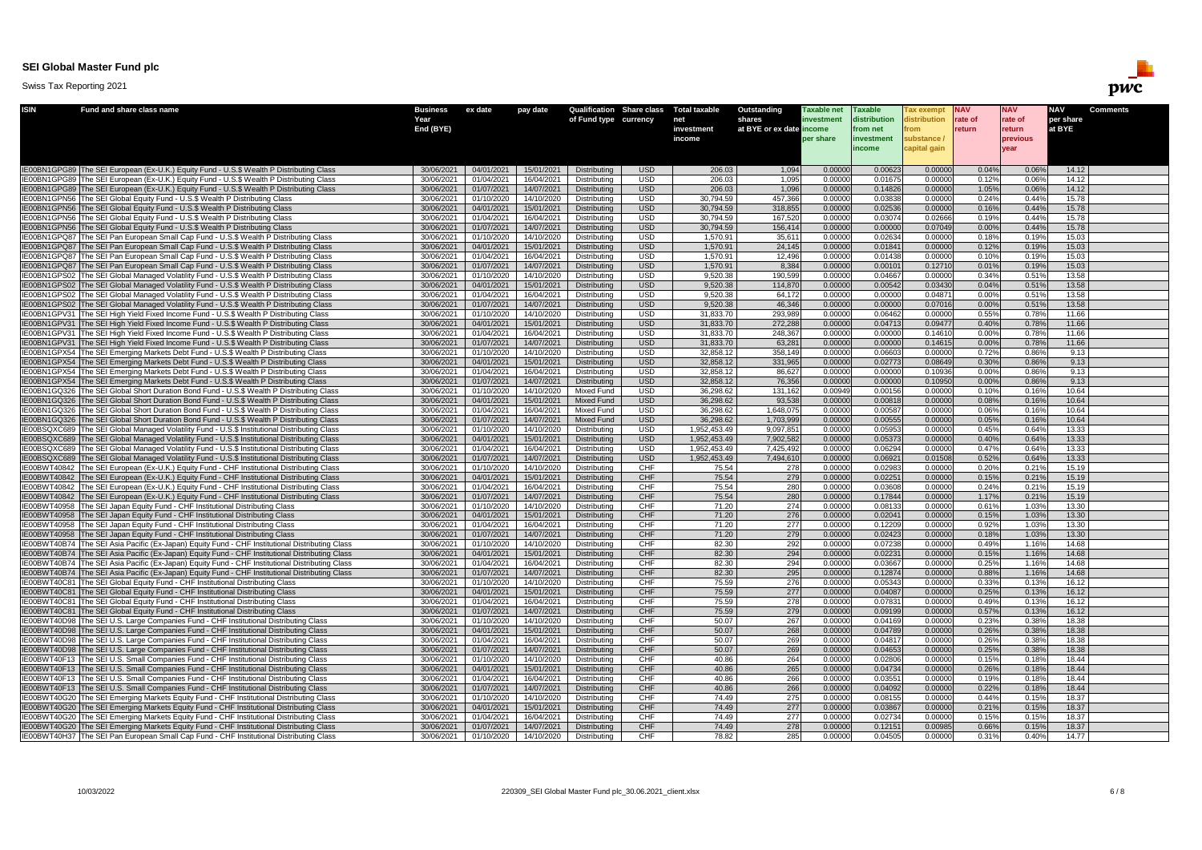| <b>ISIN</b><br><b>Fund and share class name</b>                                                                                                                                                    | <b>Business</b>          | ex date                  | pay date                 |                                        |                          | Qualification Share class Total taxable | <b>Outstanding</b>       | <b>Taxable net</b> | <b>Taxable</b>         | <b>Tax exempt</b>  | <b>NAV</b>     | <b>NAV</b>         | <b>NAV</b>     | <b>Comments</b> |
|----------------------------------------------------------------------------------------------------------------------------------------------------------------------------------------------------|--------------------------|--------------------------|--------------------------|----------------------------------------|--------------------------|-----------------------------------------|--------------------------|--------------------|------------------------|--------------------|----------------|--------------------|----------------|-----------------|
|                                                                                                                                                                                                    | Year                     |                          |                          | of Fund type currency                  |                          | net                                     | shares                   | investment         | distribution           | distribution       | <b>rate of</b> | <b>rate of</b>     | per share      |                 |
|                                                                                                                                                                                                    | End (BYE)                |                          |                          |                                        |                          | investment<br>income                    | at BYE or ex date income | per share          | from net<br>investment | rom<br>substance   | return         | return<br>previous | at BYE         |                 |
|                                                                                                                                                                                                    |                          |                          |                          |                                        |                          |                                         |                          |                    | <b>income</b>          | capital gain       |                | year               |                |                 |
|                                                                                                                                                                                                    |                          |                          |                          |                                        |                          |                                         |                          |                    |                        |                    |                |                    |                |                 |
| IE00BN1GPG89 The SEI European (Ex-U.K.) Equity Fund - U.S.\$ Wealth P Distributing Class                                                                                                           | 30/06/202                | 04/01/2021               | 15/01/2021               | Distributing                           | <b>USD</b>               | 206.03                                  | 1,094                    | 0.00000            | 0.00623                | 0.00000            | 0.04%          | 0.06%              | 14.12          |                 |
| IE00BN1GPG89 The SEI European (Ex-U.K.) Equity Fund - U.S.\$ Wealth P Distributing Class                                                                                                           | 30/06/202                | 01/04/2021               | 16/04/202                | Distributing                           | <b>USD</b>               | 206.03                                  | 1,095                    | 0.00000            | 0.01675                | 0.00000            | 0.12%          | 0.06%              | 14.12          |                 |
| IE00BN1GPG89 The SEI European (Ex-U.K.) Equity Fund - U.S.\$ Wealth P Distributing Class                                                                                                           | 30/06/2021               | 01/07/2021               | 14/07/2021               | Distributing                           | <b>USD</b>               | 206.03                                  | 1,096                    | 0.00000            | 0.14826                | 0.00000            | 1.05%          | 0.06%              | 14.12          |                 |
| IE00BN1GPN56 The SEI Global Equity Fund - U.S.\$ Wealth P Distributing Class                                                                                                                       | 30/06/2021               | 01/10/2020               | 14/10/2020               | Distributing                           | <b>USD</b>               | 30,794.59                               | 457,366                  | 0.00000            | 0.03838                | 0.00000            | 0.24%          | 0.44%              | 15.78          |                 |
| IE00BN1GPN56 The SEI Global Equity Fund - U.S.\$ Wealth P Distributing Class                                                                                                                       | 30/06/2021               | 04/01/2021               | 15/01/2021               | Distributing                           | <b>USD</b>               | 30,794.59                               | 318,855                  | 0.00000            | 0.02536                | 0.00000            | 0.16%          | 0.44%              | 15.78          |                 |
| IE00BN1GPN56 The SEI Global Equity Fund - U.S.\$ Wealth P Distributing Class                                                                                                                       | 30/06/202                | 01/04/2021               | 16/04/2021               | Distributing                           | USD                      | 30,794.59                               | 167,520                  | 0.00000            | 0.03074                | 0.02666            | 0.19%          | 0.44%              | 15.78          |                 |
| IE00BN1GPN56 The SEI Global Equity Fund - U.S.\$ Wealth P Distributing Class<br>IE00BN1GPQ87 The SEI Pan European Small Cap Fund - U.S.\$ Wealth P Distributing Class                              | 30/06/202<br>30/06/202   | 01/07/2021<br>01/10/2020 | 14/07/2021<br>14/10/2020 | Distributing<br>Distributing           | <b>USD</b><br><b>USD</b> | 30,794.59<br>1,570.91                   | 156,414<br>35,611        | 0.00000<br>0.0000  | 0.00000<br>0.02634     | 0.07049<br>0.00000 | 0.00%<br>0.18% | 0.44%<br>0.19%     | 15.78<br>15.03 |                 |
| IE00BN1GPQ87 The SEI Pan European Small Cap Fund - U.S.\$ Wealth P Distributing Class                                                                                                              | 30/06/202                | 04/01/2021               | 15/01/2021               | Distributing                           | <b>USD</b>               | 1,570.91                                | 24,145                   | 0.00000            | 0.01841                | 0.00000            | 0.12%          | 0.19%              | 15.03          |                 |
| IE00BN1GPQ87 The SEI Pan European Small Cap Fund - U.S.\$ Wealth P Distributing Class                                                                                                              | 30/06/202                | 01/04/2021               | 16/04/2021               | Distributing                           | USD                      | 1,570.91                                | 12,496                   | 0.00000            | 0.01438                | 0.00000            | 0.10%          | 0.19%              | 15.03          |                 |
| IE00BN1GPQ87 The SEI Pan European Small Cap Fund - U.S.\$ Wealth P Distributing Class                                                                                                              | 30/06/202                | 01/07/2021               | 14/07/2021               | Distributing                           | <b>USD</b>               | 1,570.91                                | 8,384                    | 0.00000            | 0.00101                | 0.12710            | 0.01%          | 0.19%              | 15.03          |                 |
| IE00BN1GPS02 The SEI Global Managed Volatility Fund - U.S.\$ Wealth P Distributing Class                                                                                                           | 30/06/2021               | 01/10/2020               | 14/10/2020               | Distributing                           | <b>USD</b>               | 9,520.38                                | 190,599                  | 0.00000            | 0.04667                | 0.00000            | 0.34%          | 0.51%              | 13.58          |                 |
| IE00BN1GPS02 The SEI Global Managed Volatility Fund - U.S.\$ Wealth P Distributing Class                                                                                                           | 30/06/2021               | 04/01/2021               | 15/01/2021               | Distributing                           | <b>USD</b>               | 9,520.38                                | 114,870                  | 0.00000            | 0.00542                | 0.03430            | 0.04%          | 0.51%              | 13.58          |                 |
| IE00BN1GPS02 The SEI Global Managed Volatility Fund - U.S.\$ Wealth P Distributing Class                                                                                                           | 30/06/202                | 01/04/2021               | 16/04/2021               | Distributing                           | <b>USD</b>               | 9,520.38                                | 64,172                   | 0.00000            | 0.00000                | 0.04871            | 0.00%          | 0.51%              | 13.58          |                 |
| IE00BN1GPS02 The SEI Global Managed Volatility Fund - U.S.\$ Wealth P Distributing Class                                                                                                           | 30/06/202                | 01/07/2021               | 14/07/2021               | Distributing                           | <b>USD</b>               | 9,520.38                                | 46,346                   | 0.00000            | 0.00000                | 0.07016            | 0.00%          | 0.51%              | 13.58          |                 |
| IE00BN1GPV31 The SEI High Yield Fixed Income Fund - U.S.\$ Wealth P Distributing Class                                                                                                             | 30/06/202                | 01/10/2020               | 14/10/2020               | Distributing                           | <b>USD</b>               | 31,833.70                               | 293,989                  | 0.0000             | 0.06462                | 0.00000            | 0.55%          | 0.78%              | 11.66          |                 |
| IE00BN1GPV31 The SEI High Yield Fixed Income Fund - U.S.\$ Wealth P Distributing Class                                                                                                             | 30/06/202                | 04/01/2021               | 15/01/2021               | <b>Distributing</b>                    | <b>USD</b>               | 31,833.70                               | 272,288                  | 0.00000            | 0.04713                | 0.09477            | 0.40%          | 0.78%              | 11.66          |                 |
| IE00BN1GPV31 The SEI High Yield Fixed Income Fund - U.S.\$ Wealth P Distributing Class                                                                                                             | 30/06/202                | 01/04/2021               | 16/04/2021               | Distributing                           | <b>USD</b>               | 31,833.70                               | 248,367                  | 0.00000            | 0.00000                | 0.14610            | 0.00%          | 0.78%              | 11.66          |                 |
| IE00BN1GPV31 The SEI High Yield Fixed Income Fund - U.S.\$ Wealth P Distributing Class                                                                                                             | 30/06/202                | 01/07/2021               | 14/07/2021               | Distributing                           | <b>USD</b>               | 31,833.70                               | 63,281                   | 0.00000            | 0.00000                | 0.14615            | 0.00%          | 0.78%              | 11.66          |                 |
| IE00BN1GPX54 The SEI Emerging Markets Debt Fund - U.S.\$ Wealth P Distributing Class                                                                                                               | 30/06/2021               | 01/10/2020               | 14/10/2020               | Distributing                           | <b>USD</b>               | 32,858.12                               | 358,149                  | 0.0000             | 0.06603                | 0.00000            | 0.72%          | 0.86%              | 9.13           |                 |
| IE00BN1GPX54 The SEI Emerging Markets Debt Fund - U.S.\$ Wealth P Distributing Class                                                                                                               | 30/06/2021               | 04/01/2021               | 15/01/2021               | Distributing                           | <b>USD</b>               | 32,858.12                               | 331,965                  | 0.00000            | 0.02773                | 0.08649            | 0.30%          | 0.86%              | 9.13           |                 |
| IE00BN1GPX54 The SEI Emerging Markets Debt Fund - U.S.\$ Wealth P Distributing Class                                                                                                               | 30/06/2021               | 01/04/2021               | 16/04/2021               | Distributing                           | <b>USD</b>               | 32,858.12                               | 86,627                   | 0.00000            | 0.00000                | 0.10936            | 0.00%          | 0.86%              | 9.13           |                 |
| IE00BN1GPX54 The SEI Emerging Markets Debt Fund - U.S.\$ Wealth P Distributing Class                                                                                                               | 30/06/202                | 01/07/2021               | 14/07/2021               | Distributing                           | <b>USD</b>               | 32,858.12                               | 76,356                   | 0.00000            | 0.00000                | 0.10950            | 0.00%          | 0.86%              | 9.13           |                 |
| IE00BN1GQ326 The SEI Global Short Duration Bond Fund - U.S.\$ Wealth P Distributing Class                                                                                                          | 30/06/202                | 01/10/2020               | 14/10/2020               | <b>Mixed Fund</b>                      | <b>USD</b>               | 36,298.62                               | 131,162                  | 0.00949            | 0.00156                | 0.00000            | 0.10%          | 0.16%              | 10.64          |                 |
| IE00BN1GQ326 The SEI Global Short Duration Bond Fund - U.S.\$ Wealth P Distributing Class                                                                                                          | 30/06/202                | 04/01/2021               | 15/01/2021<br>16/04/2021 | <b>Mixed Fund</b><br><b>Mixed Fund</b> | <b>USD</b><br><b>USD</b> | 36,298.62<br>36,298.62                  | 93,538<br>1,648,075      | 0.00000<br>0.00000 | 0.00818<br>0.00587     | 0.00000<br>0.00000 | 0.08%<br>0.06% | 0.16%<br>0.16%     | 10.64<br>10.64 |                 |
| IE00BN1GQ326 The SEI Global Short Duration Bond Fund - U.S.\$ Wealth P Distributing Class<br>IE00BN1GQ326 The SEI Global Short Duration Bond Fund - U.S.\$ Wealth P Distributing Class             | 30/06/202<br>30/06/202   | 01/04/2021<br>01/07/2021 | 14/07/2021               | <b>Mixed Fund</b>                      | <b>USD</b>               | 36,298.62                               | 1,703,999                | 0.00000            | 0.00555                | 0.00000            | 0.05%          | 0.16%              | 10.64          |                 |
| IE00BSQXC689 The SEI Global Managed Volatility Fund - U.S.\$ Institutional Distributing Class                                                                                                      | 30/06/202                | 01/10/2020               | 14/10/2020               | Distributing                           | <b>USD</b>               | 1,952,453.49                            | 9,097,851                | 0.00000            | 0.05953                | 0.00000            | 0.45%          | 0.64%              | 13.33          |                 |
| IE00BSQXC689 The SEI Global Managed Volatility Fund - U.S.\$ Institutional Distributing Class                                                                                                      | 30/06/2021               | 04/01/2021               | 15/01/2021               | Distributing                           | <b>USD</b>               | 1,952,453.49                            | 7,902,582                | 0.00000            | 0.05373                | 0.00000            | 0.40%          | 0.64%              | 13.33          |                 |
| IE00BSQXC689 The SEI Global Managed Volatility Fund - U.S.\$ Institutional Distributing Class                                                                                                      | 30/06/2021               | 01/04/2021               | 16/04/2021               | Distributing                           | <b>USD</b>               | 1,952,453.49                            | 7,425,492                | 0.00000            | 0.06294                | 0.00000            | 0.47%          | 0.64%              | 13.33          |                 |
| IE00BSQXC689 The SEI Global Managed Volatility Fund - U.S.\$ Institutional Distributing Class                                                                                                      | 30/06/202                | 01/07/2021               | 14/07/2021               | Distributing                           | <b>USD</b>               | 1,952,453.49                            | 7,494,610                | 0.00000            | 0.06921                | 0.01508            | 0.52%          | 0.64%              | 13.33          |                 |
| IE00BWT40842 The SEI European (Ex-U.K.) Equity Fund - CHF Institutional Distributing Class                                                                                                         | 30/06/2021               | 01/10/2020               | 14/10/2020               | Distributing                           | CHF                      | 75.54                                   | 278                      | 0.00000            | 0.02983                | 0.00000            | 0.20%          | 0.21%              | 15.19          |                 |
| IE00BWT40842   The SEI European (Ex-U.K.) Equity Fund - CHF Institutional Distributing Class                                                                                                       | 30/06/2021               | 04/01/2021               | 15/01/2021               | Distributing                           | CHF                      | 75.54                                   | 279                      | 0.00000            | 0.02251                | 0.00000            | 0.15%          | 0.21%              | 15.19          |                 |
| IE00BWT40842 The SEI European (Ex-U.K.) Equity Fund - CHF Institutional Distributing Class                                                                                                         | 30/06/2021               | 01/04/2021               | 16/04/2021               | Distributing                           | CHF                      | 75.54                                   | 280                      | 0.00000            | 0.03608                | 0.00000            | 0.24%          | 0.21%              | 15.19          |                 |
| IE00BWT40842 The SEI European (Ex-U.K.) Equity Fund - CHF Institutional Distributing Class                                                                                                         | 30/06/202                | 01/07/2021               | 14/07/2021               | Distributing                           | CHF                      | 75.54                                   | 280                      | 0.00000            | 0.17844                | 0.00000            | 1.17%          | 0.21%              | 15.19          |                 |
| IE00BWT40958 The SEI Japan Equity Fund - CHF Institutional Distributing Class                                                                                                                      | 30/06/202                | 01/10/2020               | 14/10/2020               | Distributing                           | <b>CHF</b>               | 71.20                                   | 274                      | 0.00000            | 0.08133                | 0.00000            | 0.61%          | 1.03%              | 13.30          |                 |
| IE00BWT40958 The SEI Japan Equity Fund - CHF Institutional Distributing Class                                                                                                                      | 30/06/202                | 04/01/2021               | 15/01/2021               | Distributing                           | <b>CHF</b>               | 71.20                                   | 276                      | 0.00000            | 0.02041                | 0.00000            | 0.15%          | 1.03%              | 13.30          |                 |
| IE00BWT40958 The SEI Japan Equity Fund - CHF Institutional Distributing Class                                                                                                                      | 30/06/2021               | 01/04/2021               | 16/04/2021               | Distributing                           | CHF                      | 71.20                                   | 277                      | 0.0000             | 0.12209                | 0.00000            | 0.92%          | 1.03%              | 13.30          |                 |
| IE00BWT40958 The SEI Japan Equity Fund - CHF Institutional Distributing Class                                                                                                                      | 30/06/2021               | 01/07/2021               | 14/07/2021               | Distributing                           | CHF                      | 71.20                                   | 279                      | 0.00000            | 0.02423                | 0.0000C            | 0.18%          | 1.03%              | 13.30          |                 |
| IE00BWT40B74 The SEI Asia Pacific (Ex-Japan) Equity Fund - CHF Institutional Distributing Class                                                                                                    | 30/06/202                | 01/10/2020               | 14/10/2020               | Distributing                           | CHF<br>CHF               | 82.30                                   | 292                      | 0.00000            | 0.07238                | 0.00000            | 0.49%          | 1.16%              | 14.68          |                 |
| IE00BWT40B74 The SEI Asia Pacific (Ex-Japan) Equity Fund - CHF Institutional Distributing Class<br>IE00BWT40B74 The SEI Asia Pacific (Ex-Japan) Equity Fund - CHF Institutional Distributing Class | 30/06/202                | 04/01/2021               | 15/01/2021<br>16/04/2021 | Distributing<br>Distributing           | <b>CHF</b>               | 82.30<br>82.30                          | 294<br>294               | 0.00000<br>0.0000  | 0.02231<br>0.03667     | 0.00000<br>0.00000 | 0.15%<br>0.25% | 1.16%<br>1.16%     | 14.68<br>14.68 |                 |
| IE00BWT40B74 The SEI Asia Pacific (Ex-Japan) Equity Fund - CHF Institutional Distributing Class                                                                                                    | 30/06/202<br>30/06/2021  | 01/04/2021<br>01/07/2021 | 14/07/2021               | Distributing                           | CHF                      | 82.30                                   | 295                      | 0.00000            | 0.12874                | 0.00000            | 0.88%          | 1.16%              | 14.68          |                 |
| IE00BWT40C81   The SEI Global Equity Fund - CHF Institutional Distributing Class                                                                                                                   | 30/06/202                | 01/10/2020               | 14/10/2020               | Distributing                           | CHF                      | 75.59                                   | 276                      | 0.00000            | 0.05343                | 0.00000            | 0.33%          | 0.13%              | 16.12          |                 |
| IE00BWT40C81 The SEI Global Equity Fund - CHF Institutional Distributing Class                                                                                                                     | 30/06/202                | 04/01/2021               | 15/01/2021               | Distributing                           | CHF                      | 75.59                                   | 277                      | 0.00000            | 0.04087                | 0.00000            | 0.25%          | 0.13%              | 16.12          |                 |
| IE00BWT40C81 The SEI Global Equity Fund - CHF Institutional Distributing Class                                                                                                                     | 30/06/202                | 01/04/2021               | 16/04/2021               | Distributing                           | <b>CHF</b>               | 75.59                                   | 278                      | 0.0000             | 0.07831                | 0.00000            | 0.49%          | 0.13%              | 16.12          |                 |
| IE00BWT40C81 The SEI Global Equity Fund - CHF Institutional Distributing Class                                                                                                                     | 30/06/2021               | 01/07/2021               | 14/07/2021               | Distributing                           | <b>CHF</b>               | 75.59                                   | 279                      | 0.00000            | 0.09199                | 0.00000            | 0.57%          | 0.13%              | 16.12          |                 |
| IE00BWT40D98 The SEI U.S. Large Companies Fund - CHF Institutional Distributing Class                                                                                                              | 30/06/2021               | 01/10/2020               | 14/10/2020               | Distributing                           | CHF                      | 50.07                                   | 267                      | 0.00000            | 0.04169                | 0.00000            | 0.23%          | 0.38%              | 18.38          |                 |
| IE00BWT40D98 The SEI U.S. Large Companies Fund - CHF Institutional Distributing Class                                                                                                              | 30/06/2021               | 04/01/2021               | 15/01/2021               | Distributing                           | CHF                      | 50.07                                   | 268                      | 0.00000            | 0.04789                | 0.00000            | 0.26%          | 0.38%              | 18.38          |                 |
| IE00BWT40D98 The SEI U.S. Large Companies Fund - CHF Institutional Distributing Class                                                                                                              | 30/06/202                | 01/04/2021               | 16/04/2021               | Distributing                           | CHF                      | 50.07                                   | 269                      | 0.00000            | 0.04817                | 0.00000            | 0.26%          | 0.38%              | 18.38          |                 |
| IE00BWT40D98 The SEI U.S. Large Companies Fund - CHF Institutional Distributing Class                                                                                                              | 30/06/2021               | 01/07/2021               | 14/07/2021               | Distributing                           | CHF                      | 50.07                                   | 269                      | 0.00000            | 0.04653                | 0.00000            | 0.25%          | 0.38%              | 18.38          |                 |
| IE00BWT40F13 The SEI U.S. Small Companies Fund - CHF Institutional Distributing Class                                                                                                              | 30/06/2021               | 01/10/2020               | 14/10/2020               | Distributing                           | CHF                      | 40.86                                   | 264                      | 0.00000            | 0.02806                | 0.00000            | 0.15%          | 0.18%              | 18.44          |                 |
| IE00BWT40F13 The SEI U.S. Small Companies Fund - CHF Institutional Distributing Class                                                                                                              | 30/06/202                | 04/01/2021               | 15/01/2021               | Distributing                           | <b>CHF</b>               | 40.86                                   | 265                      | 0.00000            | 0.04734                | 0.00000            | 0.26%          | 0.18%              | 18.44          |                 |
| IE00BWT40F13 The SEI U.S. Small Companies Fund - CHF Institutional Distributing Class                                                                                                              | 30/06/202                | 01/04/2021               | 16/04/2021               | Distributing                           | CHF                      | 40.86                                   | 266                      | 0.00000            | 0.03551                | 0.00000            | 0.19%          | 0.18%              | 18.44          |                 |
| IE00BWT40F13 The SEI U.S. Small Companies Fund - CHF Institutional Distributing Class                                                                                                              | 30/06/2021               | 01/07/2021               | 14/07/2021               | Distributing                           | <b>CHF</b>               | 40.86                                   | 266                      | 0.00000            | 0.04092                | 0.00000            | 0.22%          | 0.18%              | 18.44          |                 |
| IE00BWT40G20 The SEI Emerging Markets Equity Fund - CHF Institutional Distributing Class                                                                                                           | 30/06/2021               | 01/10/2020               | 14/10/2020               | Distributing                           | CHF                      | 74.49                                   | 275                      | 0.00000            | 0.08155                | 0.00000            | 0.44%          | 0.15%              | 18.37          |                 |
| IE00BWT40G20 The SEI Emerging Markets Equity Fund - CHF Institutional Distributing Class<br>IE00BWT40G20 The SEI Emerging Markets Equity Fund - CHF Institutional Distributing Class               | 30/06/2021<br>30/06/2021 | 04/01/2021               | 15/01/2021<br>16/04/2021 | Distributing<br>Distributing           | CHF<br>CHF               | 74.49<br>74.49                          | 277<br>277               | 0.00000<br>0.00000 | 0.03867<br>0.02734     | 0.00000<br>0.00000 | 0.21%<br>0.15% | 0.15%<br>0.15%     | 18.37<br>18.37 |                 |
| IE00BWT40G20 The SEI Emerging Markets Equity Fund - CHF Institutional Distributing Class                                                                                                           | 30/06/202                | 01/04/2021<br>01/07/2021 | 14/07/2021               | Distributing                           | <b>CHF</b>               | 74.49                                   | 278                      | 0.00000            | 0.12151                | 0.00985            | 0.66%          | 0.15%              | 18.37          |                 |
| IE00BWT40H37 The SEI Pan European Small Cap Fund - CHF Institutional Distributing Class                                                                                                            | 30/06/2021               | 01/10/2020               | 14/10/2020               | Distributing                           | <b>CHF</b>               | 78.82                                   | 285                      | 0.0000             | 0.04505                | 0.00000            | 0.31%          | 0.40%              | 14.77          |                 |
|                                                                                                                                                                                                    |                          |                          |                          |                                        |                          |                                         |                          |                    |                        |                    |                |                    |                |                 |

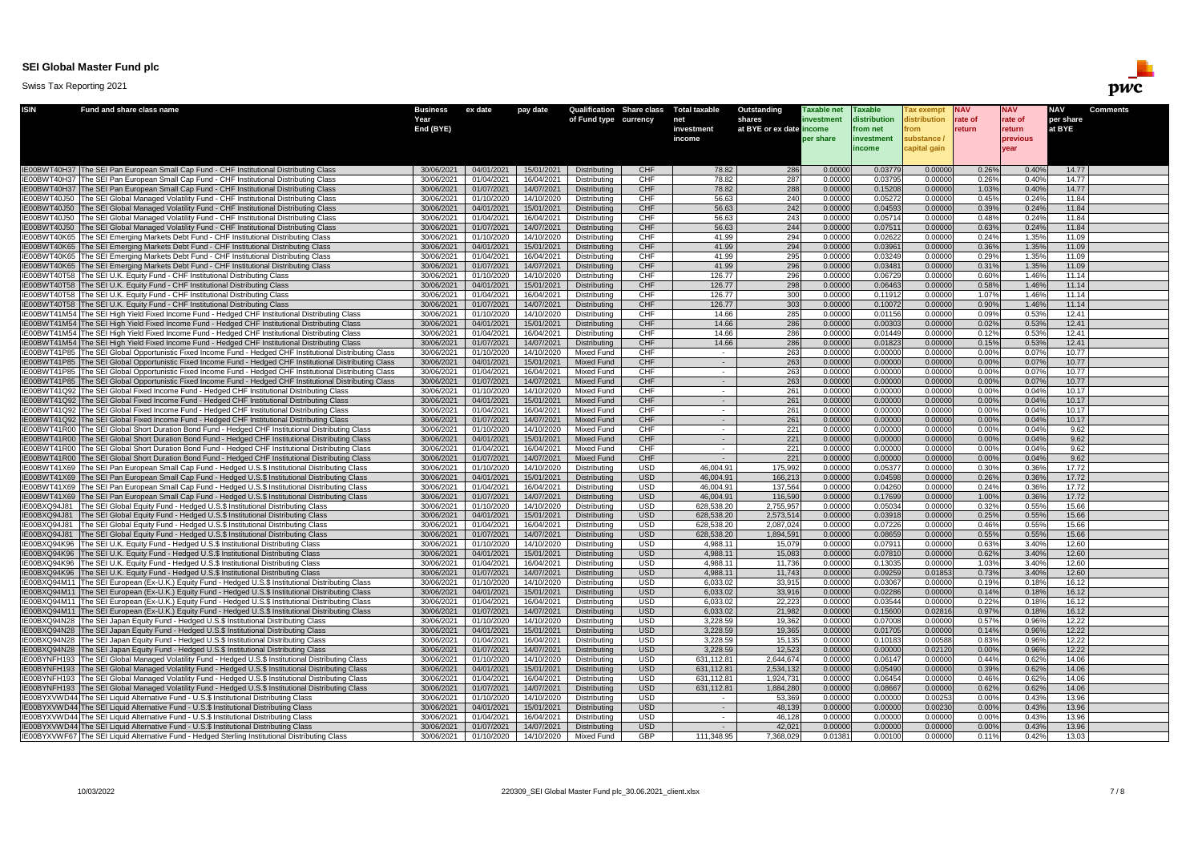| <b>ISIN</b>  | <b>Fund and share class name</b>                                                                                                                                                                             | <b>Business</b>          | ex date                  | pay date                 | <b>Qualification Share class</b>    |                          | <b>Total taxable</b> | Outstanding              | <b>Taxable net</b> | <b>Taxable</b>     | <b>Tax exempt</b>  | <b>NAV</b>     | <b>NAV</b>     | <b>NAV</b>     | <b>Comments</b> |
|--------------|--------------------------------------------------------------------------------------------------------------------------------------------------------------------------------------------------------------|--------------------------|--------------------------|--------------------------|-------------------------------------|--------------------------|----------------------|--------------------------|--------------------|--------------------|--------------------|----------------|----------------|----------------|-----------------|
|              |                                                                                                                                                                                                              | Year                     |                          |                          | of Fund type currency               |                          | net                  | shares                   | nvestment          | distribution       | distribution       | <b>rate of</b> | rate of        | per share      |                 |
|              |                                                                                                                                                                                                              | End (BYE)                |                          |                          |                                     |                          | investment           | at BYE or ex date income |                    | from net           | rom i              | <b>return</b>  | return         | at BYE         |                 |
|              |                                                                                                                                                                                                              |                          |                          |                          |                                     |                          | income               |                          | per share          | investment         | substance          |                | previous       |                |                 |
|              |                                                                                                                                                                                                              |                          |                          |                          |                                     |                          |                      |                          |                    | <b>income</b>      | capital gain       |                | <b>vear</b>    |                |                 |
|              |                                                                                                                                                                                                              |                          |                          |                          |                                     |                          |                      |                          |                    |                    |                    |                |                |                |                 |
|              | IE00BWT40H37 The SEI Pan European Small Cap Fund - CHF Institutional Distributing Class<br>IE00BWT40H37 The SEI Pan European Small Cap Fund - CHF Institutional Distributing Class                           | 30/06/202<br>30/06/202   | 04/01/2021<br>01/04/2021 | 15/01/2021<br>16/04/202  | Distributing<br>Distributing        | <b>CHF</b><br><b>CHF</b> | 78.82<br>78.82       | 286<br>287               | 0.00000<br>0.0000  | 0.03779<br>0.03795 | 0.00000<br>0.00000 | 0.26%<br>0.26% | 0.40%<br>0.40% | 14.77<br>14.77 |                 |
|              | IE00BWT40H37 The SEI Pan European Small Cap Fund - CHF Institutional Distributing Class                                                                                                                      | 30/06/2021               | 01/07/2021               | 14/07/2021               | <b>Distributing</b>                 | <b>CHF</b>               | 78.82                | 288                      | 0.00000            | 0.15208            | 0.00000            | 1.03%          | 0.40%          | 14.77          |                 |
|              | IE00BWT40J50 The SEI Global Managed Volatility Fund - CHF Institutional Distributing Class                                                                                                                   | 30/06/202                | 01/10/2020               | 14/10/2020               | Distributing                        | CHF                      | 56.63                | 240                      | 0.00000            | 0.05272            | 0.00000            | 0.45%          | 0.24%          | 11.84          |                 |
|              | IE00BWT40J50 The SEI Global Managed Volatility Fund - CHF Institutional Distributing Class                                                                                                                   | 30/06/202                | 04/01/2021               | 15/01/2021               | Distributing                        | CHF                      | 56.63                | 242                      | 0.00000            | 0.04593            | 0.00000            | 0.39%          | 0.24%          | 11.84          |                 |
|              | IE00BWT40J50 The SEI Global Managed Volatility Fund - CHF Institutional Distributing Class                                                                                                                   | 30/06/202                | 01/04/2021               | 16/04/2021               | Distributing                        | CHF                      | 56.63                | 243                      | 0.00000            | 0.05714            | 0.00000            | 0.48%          | 0.24%          | 11.84          |                 |
|              | IE00BWT40J50 The SEI Global Managed Volatility Fund - CHF Institutional Distributing Class                                                                                                                   | 30/06/202                | 01/07/2021               | 14/07/2021               | <b>Distributing</b>                 | CHF                      | 56.63                | 244                      | 0.00000            | 0.07511            | 0.00000            | 0.63%          | 0.24%          | 11.84          |                 |
|              | IE00BWT40K65 The SEI Emerging Markets Debt Fund - CHF Institutional Distributing Class                                                                                                                       | 30/06/202                | 01/10/2020               | 14/10/2020               | Distributing                        | CHF                      | 41.99                | 294                      | 0.00000            | 0.02622            | 0.00000            | 0.24%          | 1.35%          | 11.09          |                 |
|              | IE00BWT40K65 The SEI Emerging Markets Debt Fund - CHF Institutional Distributing Class                                                                                                                       | 30/06/202                | 04/01/2021               | 15/01/2021               | Distributing                        | CHF                      | 41.99                | 294                      | 0.00000            | 0.03961            | 0.00000            | 0.36%          | 1.35%          | 11.09          |                 |
|              | IE00BWT40K65 The SEI Emerging Markets Debt Fund - CHF Institutional Distributing Class                                                                                                                       | 30/06/202                | 01/04/2021               | 16/04/2021               | Distributing                        | CHF                      | 41.99                | 295                      | 0.00000            | 0.03249            | 0.00000            | 0.29%          | 1.35%          | 11.09          |                 |
|              | IE00BWT40K65 The SEI Emerging Markets Debt Fund - CHF Institutional Distributing Class                                                                                                                       | 30/06/2021               | 01/07/2021               | 14/07/2021               | Distributing                        | CHF                      | 41.99                | 296                      | 0.00000            | 0.03481            | 0.00000            | 0.31%          | 1.35%          | 11.09          |                 |
|              | IE00BWT40T58 The SEI U.K. Equity Fund - CHF Institutional Distributing Class                                                                                                                                 | 30/06/2021               | 01/10/2020               | 14/10/2020               | Distributing                        | CHF                      | 126.77               | 296                      | 0.00000            | 0.06729            | 0.00000            | 0.60%          | 1.46%          | 11.14          |                 |
|              | IE00BWT40T58 The SEI U.K. Equity Fund - CHF Institutional Distributing Class                                                                                                                                 | 30/06/2021               | 04/01/2021               | 15/01/2021               | Distributing                        | <b>CHF</b>               | 126.77               | 298                      | 0.00000            | 0.06463            | 0.00000            | 0.58%          | 1.46%          | 11.14          |                 |
|              | IE00BWT40T58 The SEI U.K. Equity Fund - CHF Institutional Distributing Class                                                                                                                                 | 30/06/202                | 01/04/2021               | 16/04/2021               | Distributing                        | CHF                      | 126.77               | 300                      | 0.00000            | 0.11912            | 0.00000            | 1.07%          | 1.46%          | 11.14          |                 |
|              | IE00BWT40T58 The SEI U.K. Equity Fund - CHF Institutional Distributing Class                                                                                                                                 | 30/06/202<br>30/06/202   | 01/07/2021<br>01/10/2020 | 14/07/2021<br>14/10/2020 | Distributing<br>Distributing        | <b>CHF</b><br>CHF        | 126.77<br>14.66      | 303<br>285               | 0.0000<br>0.00000  | 0.10072<br>0.01156 | 0.00000<br>0.00000 | 0.90%<br>0.09% | 1.46%<br>0.53% | 11.14<br>12.41 |                 |
|              | IE00BWT41M54 The SEI High Yield Fixed Income Fund - Hedged CHF Institutional Distributing Class<br>IE00BWT41M54 The SEI High Yield Fixed Income Fund - Hedged CHF Institutional Distributing Class           | 30/06/202                | 04/01/2021               | 15/01/2021               | Distributing                        | CHF                      | 14.66                | 286                      | 0.00000            | 0.00303            | 0.00000            | 0.02%          | 0.53%          | 12.41          |                 |
|              | IE00BWT41M54 The SEI High Yield Fixed Income Fund - Hedged CHF Institutional Distributing Class                                                                                                              | 30/06/202                | 01/04/2021               | 16/04/2021               | Distributing                        | CHF                      | 14.66                | 286                      | 0.00000            | 0.01449            | 0.00000            | 0.12%          | 0.53%          | 12.41          |                 |
|              | IE00BWT41M54 The SEI High Yield Fixed Income Fund - Hedged CHF Institutional Distributing Class                                                                                                              | 30/06/202                | 01/07/2021               | 14/07/2021               | Distributing                        | <b>CHF</b>               | 14.66                | 286                      | 0.00000            | 0.01823            | 0.00000            | 0.15%          | 0.53%          | 12.41          |                 |
|              | IE00BWT41P85 The SEI Global Opportunistic Fixed Income Fund - Hedged CHF Institutional Distributing Class                                                                                                    | 30/06/202                | 01/10/2020               | 14/10/2020               | <b>Mixed Fund</b>                   | CHF                      |                      | 263                      | 0.0000             | 0.00000            | 0.00000            | 0.00%          | 0.07%          | 10.77          |                 |
|              | IE00BWT41P85 The SEI Global Opportunistic Fixed Income Fund - Hedged CHF Institutional Distributing Class                                                                                                    | 30/06/2021               | 04/01/2021               | 15/01/2021               | <b>Mixed Fund</b>                   | CHF                      |                      | 263                      | 0.00000            | 0.00000            | 0.00000            | 0.00%          | 0.07%          | 10.77          |                 |
|              | IE00BWT41P85 The SEI Global Opportunistic Fixed Income Fund - Hedged CHF Institutional Distributing Class                                                                                                    | 30/06/202                | 01/04/2021               | 16/04/2021               | <b>Mixed Fund</b>                   | CHF                      |                      | 263                      | 0.00000            | 0.00000            | 0.00000            | 0.00%          | 0.07%          | 10.77          |                 |
|              | IE00BWT41P85 The SEI Global Opportunistic Fixed Income Fund - Hedged CHF Institutional Distributing Class                                                                                                    | 30/06/202                | 01/07/2021               | 14/07/2021               | <b>Mixed Fund</b>                   | CHF                      |                      | 263                      | 0.00000            | 0.00000            | 0.00000            | 0.00%          | 0.07%          | 10.77          |                 |
|              | IE00BWT41Q92 The SEI Global Fixed Income Fund - Hedged CHF Institutional Distributing Class                                                                                                                  | 30/06/202                | 01/10/2020               | 14/10/2020               | <b>Mixed Fund</b>                   | <b>CHF</b>               |                      | 261                      | 0.0000             | 0.00000            | 0.00000            | 0.00%          | 0.04%          | 10.17          |                 |
|              | IE00BWT41Q92 The SEI Global Fixed Income Fund - Hedged CHF Institutional Distributing Class                                                                                                                  | 30/06/202                | 04/01/2021               | 15/01/2021               | <b>Mixed Fund</b>                   | CHF                      |                      | 261                      | 0.00000            | 0.00000            | 0.00000            | 0.00%          | 0.04%          | 10.17          |                 |
|              | IE00BWT41Q92 The SEI Global Fixed Income Fund - Hedged CHF Institutional Distributing Class                                                                                                                  | 30/06/202                | 01/04/2021               | 16/04/2021               | <b>Mixed Fund</b>                   | <b>CHF</b>               |                      | 261                      | 0.0000             | 0.00000            | 0.00000            | 0.00%          | 0.04%          | 10.17          |                 |
|              | IE00BWT41Q92 The SEI Global Fixed Income Fund - Hedged CHF Institutional Distributing Class                                                                                                                  | 30/06/202                | 01/07/2021               | 14/07/2021               | <b>Mixed Fund</b>                   | CHF                      |                      | 261                      | 0.00000            | 0.00000            | 0.00000            | 0.00%          | 0.04%          | 10.17          |                 |
|              | IE00BWT41R00 The SEI Global Short Duration Bond Fund - Hedged CHF Institutional Distributing Class                                                                                                           | 30/06/202                | 01/10/2020               | 14/10/2020               | <b>Mixed Fund</b>                   | <b>CHF</b>               | $\sim$               | 221                      | 0.0000             | 0.00000            | 0.00000            | 0.00%          | 0.04%          | 9.62           |                 |
|              | IE00BWT41R00 The SEI Global Short Duration Bond Fund - Hedged CHF Institutional Distributing Class                                                                                                           | 30/06/2021               | 04/01/2021               | 15/01/2021               | <b>Mixed Fund</b>                   | CHF                      |                      | 221                      | 0.00000            | 0.00000            | 0.00000            | 0.00%          | 0.04%          | 9.62           |                 |
|              | IE00BWT41R00 The SEI Global Short Duration Bond Fund - Hedged CHF Institutional Distributing Class                                                                                                           | 30/06/2021               | 01/04/2021               | 16/04/2021               | <b>Mixed Fund</b>                   | <b>CHF</b>               |                      | 221                      | 0.00000            | 0.00000            | 0.00000            | 0.00%          | 0.04%          | 9.62           |                 |
|              | IE00BWT41R00 The SEI Global Short Duration Bond Fund - Hedged CHF Institutional Distributing Class<br>IE00BWT41X69 The SEI Pan European Small Cap Fund - Hedged U.S.\$ Institutional Distributing Class      | 30/06/2021<br>30/06/2021 | 01/07/2021<br>01/10/2020 | 14/07/2021<br>14/10/2020 | <b>Mixed Fund</b><br>Distributing   | <b>CHF</b><br><b>USD</b> | 46,004.91            | 221<br>175,992           | 0.00000<br>0.00000 | 0.00000<br>0.05377 | 0.00000<br>0.00000 | 0.00%<br>0.30% | 0.04%<br>0.36% | 9.62<br>17.72  |                 |
|              | IE00BWT41X69 The SEI Pan European Small Cap Fund - Hedged U.S.\$ Institutional Distributing Class                                                                                                            | 30/06/2021               | 04/01/2021               | 15/01/2021               | Distributing                        | <b>USD</b>               | 46,004.91            | 166,213                  | 0.00000            | 0.04598            | 0.00000            | 0.26%          | 0.36%          | 17.72          |                 |
|              | IE00BWT41X69 The SEI Pan European Small Cap Fund - Hedged U.S.\$ Institutional Distributing Class                                                                                                            | 30/06/2021               | 01/04/2021               | 16/04/2021               | Distributing                        | <b>USD</b>               | 46,004.91            | 137,564                  | 0.00000            | 0.04260            | 0.00000            | 0.24%          | 0.36%          | 17.72          |                 |
|              | IE00BWT41X69 The SEI Pan European Small Cap Fund - Hedged U.S.\$ Institutional Distributing Class                                                                                                            | 30/06/202                | 01/07/2021               | 14/07/2021               | Distributing                        | <b>USD</b>               | 46,004.91            | 116,590                  | 0.00000            | 0.17699            | 0.00000            | 1.00%          | 0.36%          | 17.72          |                 |
| IE00BXQ94J81 | The SEI Global Equity Fund - Hedged U.S.\$ Institutional Distributing Class                                                                                                                                  | 30/06/202                | 01/10/2020               | 14/10/2020               | Distributing                        | <b>USD</b>               | 628,538.20           | 2,755,957                | 0.00000            | 0.05034            | 0.00000            | 0.32%          | 0.55%          | 15.66          |                 |
| IE00BXQ94J81 | The SEI Global Equity Fund - Hedged U.S.\$ Institutional Distributing Class                                                                                                                                  | 30/06/2021               | 04/01/2021               | 15/01/2021               | Distributing                        | <b>USD</b>               | 628,538.20           | 2,573,514                | 0.00000            | 0.03918            | 0.00000            | 0.25%          | 0.55%          | 15.66          |                 |
| IE00BXQ94J81 | The SEI Global Equity Fund - Hedged U.S.\$ Institutional Distributing Class                                                                                                                                  | 30/06/2021               | 01/04/2021               | 16/04/2021               | Distributing                        | <b>USD</b>               | 628,538.20           | 2,087,024                | 0.0000             | 0.07226            | 0.00000            | 0.46%          | 0.55%          | 15.66          |                 |
| IE00BXQ94J81 | The SEI Global Equity Fund - Hedged U.S.\$ Institutional Distributing Class                                                                                                                                  | 30/06/2021               | 01/07/2021               | 14/07/2021               | Distributing                        | <b>USD</b>               | 628,538.20           | 1,894,591                | 0.00000            | 0.08659            | 0.00000            | 0.55%          | 0.55%          | 15.66          |                 |
|              | IE00BXQ94K96 The SEI U.K. Equity Fund - Hedged U.S.\$ Institutional Distributing Class                                                                                                                       | 30/06/202                | 01/10/2020               | 14/10/2020               | Distributing                        | <b>USD</b>               | 4,988.11             | 15,079                   | 0.00000            | 0.07911            | 0.00000            | 0.63%          | 3.40%          | 12.60          |                 |
|              | IE00BXQ94K96 The SEI U.K. Equity Fund - Hedged U.S.\$ Institutional Distributing Class                                                                                                                       | 30/06/202                | 04/01/2021               | 15/01/2021               | Distributing                        | <b>USD</b>               | 4,988.11             | 15,083                   | 0.00000            | 0.07810            | 0.00000            | 0.62%          | 3.40%          | 12.60          |                 |
|              | IE00BXQ94K96 The SEI U.K. Equity Fund - Hedged U.S.\$ Institutional Distributing Class                                                                                                                       | 30/06/2021               | 01/04/2021               | 16/04/2021               | Distributing                        | <b>USD</b>               | 4,988.11             | 11,736                   | 0.0000             | 0.13035            | 0.00000            | 1.03%          | 3.40%          | 12.60          |                 |
|              | IE00BXQ94K96 The SEI U.K. Equity Fund - Hedged U.S.\$ Institutional Distributing Class                                                                                                                       | 30/06/202                | 01/07/2021               | 14/07/2021               | <b>Distributing</b>                 | <b>USD</b>               | 4,988.11             | 11,743                   | 0.00000            | 0.09259            | 0.01853            | 0.73%          | 3.40%          | 12.60          |                 |
|              | IE00BXQ94M11   The SEI European (Ex-U.K.) Equity Fund - Hedged U.S.\$ Institutional Distributing Class                                                                                                       | 30/06/202                | 01/10/2020               | 14/10/2020<br>15/01/2021 | Distributing                        | <b>USD</b><br><b>USD</b> | 6,033.02<br>6,033.02 | 33,915                   | 0.00000<br>0.00000 | 0.03067<br>0.02286 | 0.00000            | 0.19%<br>0.14% | 0.18%          | 16.12          |                 |
|              | IE00BXQ94M11 The SEI European (Ex-U.K.) Equity Fund - Hedged U.S.\$ Institutional Distributing Class<br>IE00BXQ94M11 The SEI European (Ex-U.K.) Equity Fund - Hedged U.S.\$ Institutional Distributing Class | 30/06/202<br>30/06/2021  | 04/01/2021<br>01/04/2021 | 16/04/2021               | <b>Distributing</b><br>Distributing | <b>USD</b>               | 6,033.02             | 33,916<br>22,223         | 0.0000             | 0.03544            | 0.00000<br>0.00000 | 0.22%          | 0.18%<br>0.18% | 16.12<br>16.12 |                 |
|              | IE00BXQ94M11 The SEI European (Ex-U.K.) Equity Fund - Hedged U.S.\$ Institutional Distributing Class                                                                                                         | 30/06/2021               | 01/07/2021               | 14/07/2021               | Distributing                        | <b>USD</b>               | 6,033.02             | 21,982                   | 0.00000            | 0.15600            | 0.02816            | 0.97%          | 0.18%          | 16.12          |                 |
|              | IE00BXQ94N28 The SEI Japan Equity Fund - Hedged U.S.\$ Institutional Distributing Class                                                                                                                      | 30/06/202                | 01/10/2020               | 14/10/2020               | Distributing                        | <b>USD</b>               | 3,228.59             | 19,362                   | 0.00000            | 0.07008            | 0.00000            | 0.57%          | 0.96%          | 12.22          |                 |
|              | IE00BXQ94N28 The SEI Japan Equity Fund - Hedged U.S.\$ Institutional Distributing Class                                                                                                                      | 30/06/202                | 04/01/2021               | 15/01/2021               | Distributing                        | <b>USD</b>               | 3,228.59             | 19,365                   | 0.00000            | 0.01705            | 0.00000            | 0.14%          | 0.96%          | 12.22          |                 |
|              | IE00BXQ94N28 The SEI Japan Equity Fund - Hedged U.S.\$ Institutional Distributing Class                                                                                                                      | 30/06/202                | 01/04/2021               | 16/04/2021               | Distributing                        | <b>USD</b>               | 3,228.59             | 15,135                   | 0.0000             | 0.10183            | 0.00588            | 0.83%          | 0.96%          | 12.22          |                 |
|              | IE00BXQ94N28 The SEI Japan Equity Fund - Hedged U.S.\$ Institutional Distributing Class                                                                                                                      | 30/06/2021               | 01/07/2021               | 14/07/2021               | Distributing                        | <b>USD</b>               | 3,228.59             | 12,523                   | 0.00000            | 0.00000            | 0.02120            | 0.00%          | 0.96%          | 12.22          |                 |
|              | IE00BYNFH193 The SEI Global Managed Volatility Fund - Hedged U.S.\$ Institutional Distributing Class                                                                                                         | 30/06/202                | 01/10/2020               | 14/10/2020               | Distributing                        | <b>USD</b>               | 631,112.81           | 2,644,674                | 0.00000            | 0.06147            | 0.00000            | 0.44%          | 0.62%          | 14.06          |                 |
|              | IE00BYNFH193 The SEI Global Managed Volatility Fund - Hedged U.S.\$ Institutional Distributing Class                                                                                                         | 30/06/202                | 04/01/2021               | 15/01/2021               | Distributing                        | <b>USD</b>               | 631,112.81           | 2,534,132                | 0.00000            | 0.05490            | 0.00000            | 0.39%          | 0.62%          | 14.06          |                 |
|              | IE00BYNFH193 The SEI Global Managed Volatility Fund - Hedged U.S.\$ Institutional Distributing Class                                                                                                         | 30/06/202                | 01/04/2021               | 16/04/202                | Distributing                        | <b>USD</b>               | 631,112.81           | 1,924,731                | 0.0000             | 0.06454            | 0.00000            | 0.46%          | 0.62%          | 14.06          |                 |
|              | IE00BYNFH193 The SEI Global Managed Volatility Fund - Hedged U.S.\$ Institutional Distributing Class                                                                                                         | 30/06/2021               | 01/07/2021               | 14/07/2021               | Distributing                        | <b>USD</b>               | 631,112.81           | 1,884,280                | 0.00000            | 0.08667            | 0.00000            | 0.62%          | 0.62%          | 14.06          |                 |
|              | IE00BYXVWD44 The SEI Liquid Alternative Fund - U.S.\$ Institutional Distributing Class                                                                                                                       | 30/06/202                | 01/10/2020               | 14/10/2020               | Distributing                        | USD                      |                      | 53,369                   | 0.00000            | 0.00000            | 0.00253            | 0.00%          | 0.43%          | 13.96          |                 |
|              | IE00BYXVWD44 The SEI Liquid Alternative Fund - U.S.\$ Institutional Distributing Class                                                                                                                       | 30/06/202                | 04/01/2021               | 15/01/2021               | Distributing                        | <b>USD</b>               |                      | 48,139                   | 0.00000            | 0.00000            | 0.00230            | 0.00%          | 0.43%          | 13.96          |                 |
|              | IE00BYXVWD44 The SEI Liquid Alternative Fund - U.S.\$ Institutional Distributing Class                                                                                                                       | 30/06/202                | 01/04/2021               | 16/04/2021               | Distributing                        | <b>USD</b><br><b>USD</b> |                      | 46,128                   | 0.0000             | 0.00000            | 0.00000            | 0.00%          | 0.43%          | 13.96          |                 |
|              | IE00BYXVWD44 The SEI Liquid Alternative Fund - U.S.\$ Institutional Distributing Class<br>IE00BYXVWF67 The SEI Liquid Alternative Fund - Hedged Sterling Institutional Distributing Class                    | 30/06/202<br>30/06/2021  | 01/07/2021<br>01/10/2020 | 14/07/2021<br>14/10/2020 | Distributing<br>Mixed Fund          | <b>GBP</b>               | 111,348.95           | 42,021<br>7,368,029      | 0.00000<br>0.01381 | 0.00000<br>0.00100 | 0.00000<br>0.00000 | 0.00%<br>0.11% | 0.43%<br>0.42% | 13.96<br>13.03 |                 |
|              |                                                                                                                                                                                                              |                          |                          |                          |                                     |                          |                      |                          |                    |                    |                    |                |                |                |                 |